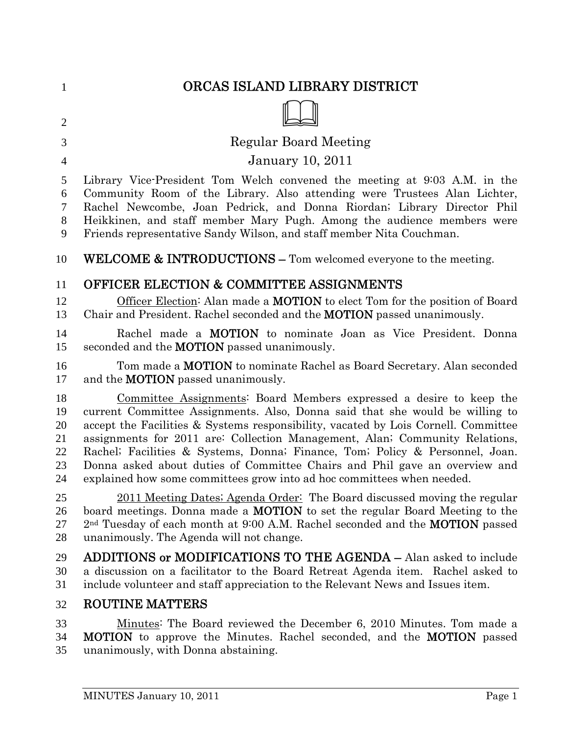| $\mathbf{1}$   | ORCAS ISLAND LIBRARY DISTRICT                                                                   |
|----------------|-------------------------------------------------------------------------------------------------|
| $\overline{2}$ |                                                                                                 |
| 3              | Regular Board Meeting                                                                           |
| $\overline{4}$ | <b>January 10, 2011</b>                                                                         |
| 5              | Library Vice-President Tom Welch convened the meeting at 9:03 A.M. in the                       |
| 6              | Community Room of the Library. Also attending were Trustees Alan Lichter,                       |
| $\tau$         | Rachel Newcombe, Joan Pedrick, and Donna Riordan; Library Director Phil                         |
| $8\phantom{1}$ | Heikkinen, and staff member Mary Pugh. Among the audience members were                          |
| 9              | Friends representative Sandy Wilson, and staff member Nita Couchman.                            |
| 10             | WELCOME & INTRODUCTIONS - Tom welcomed everyone to the meeting.                                 |
| 11             | <b>OFFICER ELECTION &amp; COMMITTEE ASSIGNMENTS</b>                                             |
| 12             | Officer Election: Alan made a <b>MOTION</b> to elect Tom for the position of Board              |
| 13             | Chair and President. Rachel seconded and the <b>MOTION</b> passed unanimously.                  |
| 14             | Rachel made a <b>MOTION</b> to nominate Joan as Vice President. Donna                           |
| 15             | seconded and the <b>MOTION</b> passed unanimously.                                              |
| 16             | Tom made a <b>MOTION</b> to nominate Rachel as Board Secretary. Alan seconded                   |
| 17             | and the <b>MOTION</b> passed unanimously.                                                       |
| 18             | Committee Assignments: Board Members expressed a desire to keep the                             |
| 19             | current Committee Assignments. Also, Donna said that she would be willing to                    |
| 20             | accept the Facilities & Systems responsibility, vacated by Lois Cornell. Committee              |
| 21             | assignments for 2011 are: Collection Management, Alan; Community Relations,                     |
| 22             | Rachel; Facilities & Systems, Donna; Finance, Tom; Policy & Personnel, Joan.                    |
| 23             | Donna asked about duties of Committee Chairs and Phil gave an overview and                      |
| 24             | explained how some committees grow into ad hoc committees when needed.                          |
| 25             | 2011 Meeting Dates; Agenda Order: The Board discussed moving the regular                        |
| 26             | board meetings. Donna made a <b>MOTION</b> to set the regular Board Meeting to the              |
| 27             | 2 <sup>nd</sup> Tuesday of each month at 9:00 A.M. Rachel seconded and the <b>MOTION</b> passed |
| 28             | unanimously. The Agenda will not change.                                                        |
| 29             | <b>ADDITIONS or MODIFICATIONS TO THE AGENDA - Alan asked to include</b>                         |
| 30             | a discussion on a facilitator to the Board Retreat Agenda item. Rachel asked to                 |
| 31             | include volunteer and staff appreciation to the Relevant News and Issues item.                  |
| 32             | <b>ROUTINE MATTERS</b>                                                                          |
| 33             | Minutes: The Board reviewed the December 6, 2010 Minutes. Tom made a                            |
| 34             | <b>MOTION</b> to approve the Minutes. Rachel seconded, and the <b>MOTION</b> passed             |
| 35             | unanimously, with Donna abstaining.                                                             |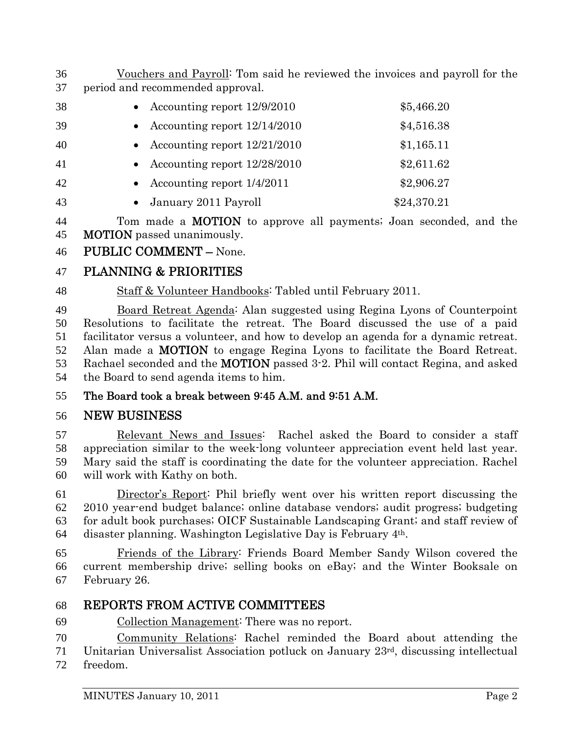- Vouchers and Payroll: Tom said he reviewed the invoices and payroll for the period and recommended approval.
- Accounting report 12/9/2010 \$5,466.20 39 • Accounting report  $12/14/2010$  \$4,516.38 40 • Accounting report  $12/21/2010$  \$1,165.11 41 • Accounting report  $12/28/2010$  \$2,611.62 42 • Accounting report  $1/4/2011$  \$2,906.27 43 • January 2011 Payroll \$24,370.21

44 Tom made a **MOTION** to approve all payments; Joan seconded, and the MOTION passed unanimously.

PUBLIC COMMENT – None.

# PLANNING & PRIORITIES

Staff & Volunteer Handbooks: Tabled until February 2011.

Board Retreat Agenda: Alan suggested using Regina Lyons of Counterpoint Resolutions to facilitate the retreat. The Board discussed the use of a paid facilitator versus a volunteer, and how to develop an agenda for a dynamic retreat. Alan made a MOTION to engage Regina Lyons to facilitate the Board Retreat. Rachael seconded and the MOTION passed 3-2. Phil will contact Regina, and asked the Board to send agenda items to him.

# The Board took a break between 9:45 A.M. and 9:51 A.M.

# NEW BUSINESS

Relevant News and Issues: Rachel asked the Board to consider a staff appreciation similar to the week-long volunteer appreciation event held last year. Mary said the staff is coordinating the date for the volunteer appreciation. Rachel will work with Kathy on both.

Director's Report: Phil briefly went over his written report discussing the 2010 year-end budget balance; online database vendors; audit progress; budgeting for adult book purchases; OICF Sustainable Landscaping Grant; and staff review of 64 disaster planning. Washington Legislative Day is February  $4<sup>th</sup>$ .

Friends of the Library: Friends Board Member Sandy Wilson covered the current membership drive; selling books on eBay; and the Winter Booksale on February 26.

# REPORTS FROM ACTIVE COMMITTEES

Collection Management: There was no report.

Community Relations: Rachel reminded the Board about attending the 71 Unitarian Universalist Association potluck on January  $23<sup>rd</sup>$ , discussing intellectual

freedom.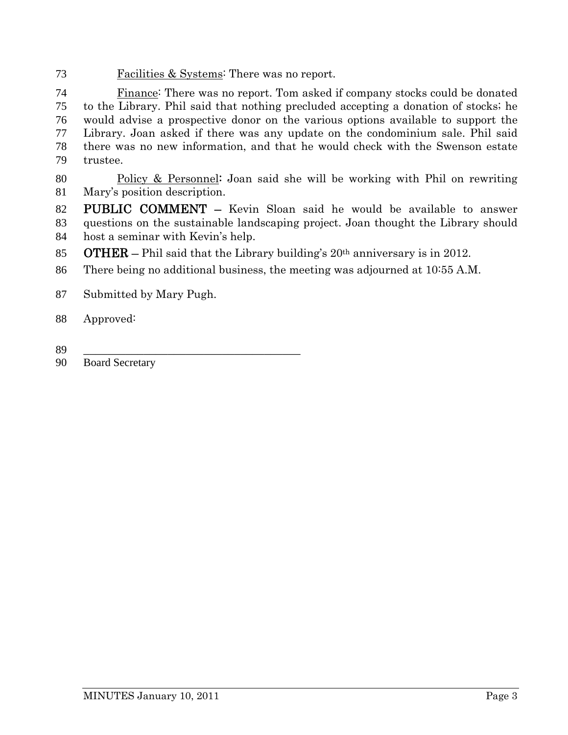Facilities & Systems: There was no report.

Finance: There was no report. Tom asked if company stocks could be donated to the Library. Phil said that nothing precluded accepting a donation of stocks; he would advise a prospective donor on the various options available to support the Library. Joan asked if there was any update on the condominium sale. Phil said there was no new information, and that he would check with the Swenson estate trustee.

- Policy & Personnel: Joan said she will be working with Phil on rewriting Mary's position description.
- PUBLIC COMMENT Kevin Sloan said he would be available to answer questions on the sustainable landscaping project. Joan thought the Library should host a seminar with Kevin's help.
- 85 **OTHER** Phil said that the Library building's  $20<sup>th</sup>$  anniversary is in 2012.
- There being no additional business, the meeting was adjourned at 10:55 A.M.
- Submitted by Mary Pugh.
- Approved:
- \_\_\_\_\_\_\_\_\_\_\_\_\_\_\_\_\_\_\_\_\_\_\_\_\_\_\_\_\_\_\_\_\_\_\_\_
- 90 Board Secretary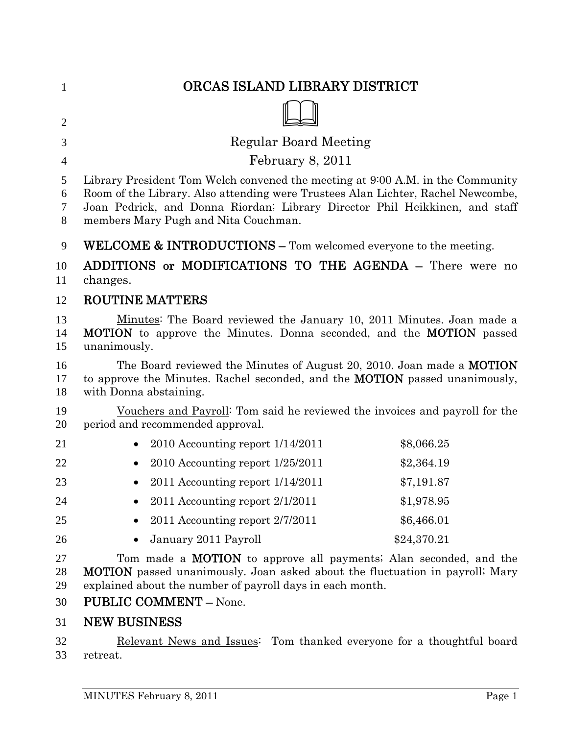| $\mathbf{1}$     | ORCAS ISLAND LIBRARY DISTRICT                                                                                                                                                                                                                                                             |             |
|------------------|-------------------------------------------------------------------------------------------------------------------------------------------------------------------------------------------------------------------------------------------------------------------------------------------|-------------|
| $\overline{2}$   |                                                                                                                                                                                                                                                                                           |             |
| 3                | <b>Regular Board Meeting</b>                                                                                                                                                                                                                                                              |             |
| 4                | February 8, 2011                                                                                                                                                                                                                                                                          |             |
| 5<br>6<br>7<br>8 | Library President Tom Welch convened the meeting at 9:00 A.M. in the Community<br>Room of the Library. Also attending were Trustees Alan Lichter, Rachel Newcombe,<br>Joan Pedrick, and Donna Riordan; Library Director Phil Heikkinen, and staff<br>members Mary Pugh and Nita Couchman. |             |
| 9                | WELCOME & INTRODUCTIONS - Tom welcomed everyone to the meeting.                                                                                                                                                                                                                           |             |
| 10<br>11         | ADDITIONS or MODIFICATIONS TO THE AGENDA - There were no<br>changes.                                                                                                                                                                                                                      |             |
| 12               | <b>ROUTINE MATTERS</b>                                                                                                                                                                                                                                                                    |             |
| 13<br>14<br>15   | Minutes: The Board reviewed the January 10, 2011 Minutes. Joan made a<br><b>MOTION</b> to approve the Minutes. Donna seconded, and the <b>MOTION</b> passed<br>unanimously.                                                                                                               |             |
| 16<br>17<br>18   | The Board reviewed the Minutes of August 20, 2010. Joan made a <b>MOTION</b><br>to approve the Minutes. Rachel seconded, and the <b>MOTION</b> passed unanimously,<br>with Donna abstaining.                                                                                              |             |
| 19<br>20         | Vouchers and Payroll: Tom said he reviewed the invoices and payroll for the<br>period and recommended approval.                                                                                                                                                                           |             |
| 21               | $2010$ Accounting report $1/14/2011$                                                                                                                                                                                                                                                      | \$8,066.25  |
| 22               | $2010$ Accounting report $1/25/2011$                                                                                                                                                                                                                                                      | \$2,364.19  |
| 23               | 2011 Accounting report $1/14/2011$                                                                                                                                                                                                                                                        | \$7,191.87  |
| 24               | 2011 Accounting report 2/1/2011                                                                                                                                                                                                                                                           | \$1,978.95  |
| 25               | 2011 Accounting report 2/7/2011                                                                                                                                                                                                                                                           | \$6,466.01  |
| 26               | January 2011 Payroll                                                                                                                                                                                                                                                                      | \$24,370.21 |
| 27<br>28<br>29   | Tom made a <b>MOTION</b> to approve all payments; Alan seconded, and the<br><b>MOTION</b> passed unanimously. Joan asked about the fluctuation in payroll; Mary<br>explained about the number of payroll days in each month.                                                              |             |
| 30               | <b>PUBLIC COMMENT - None.</b>                                                                                                                                                                                                                                                             |             |
| 31               | <b>NEW BUSINESS</b>                                                                                                                                                                                                                                                                       |             |
| 32               | Relevant News and Issues: Tom thanked everyone for a thoughtful board                                                                                                                                                                                                                     |             |

retreat.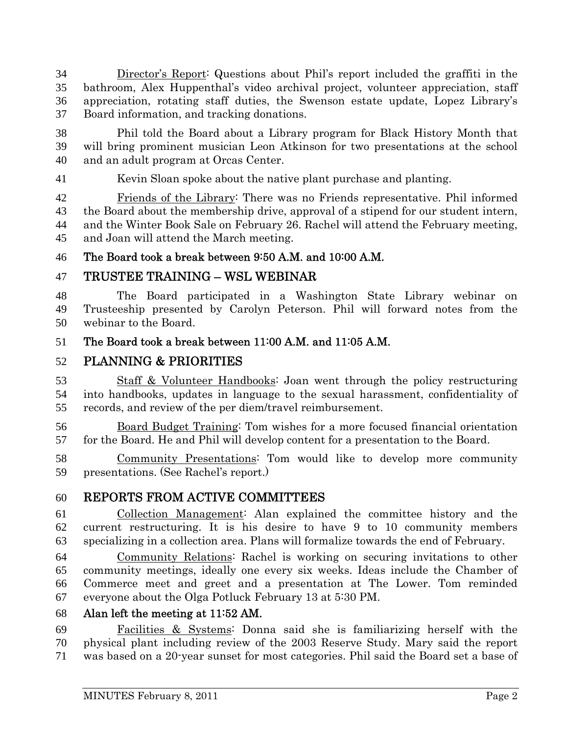Director's Report: Questions about Phil's report included the graffiti in the bathroom, Alex Huppenthal's video archival project, volunteer appreciation, staff appreciation, rotating staff duties, the Swenson estate update, Lopez Library's Board information, and tracking donations.

Phil told the Board about a Library program for Black History Month that will bring prominent musician Leon Atkinson for two presentations at the school and an adult program at Orcas Center.

Kevin Sloan spoke about the native plant purchase and planting.

Friends of the Library: There was no Friends representative. Phil informed the Board about the membership drive, approval of a stipend for our student intern, and the Winter Book Sale on February 26. Rachel will attend the February meeting, and Joan will attend the March meeting.

# The Board took a break between 9:50 A.M. and 10:00 A.M.

# TRUSTEE TRAINING – WSL WEBINAR

The Board participated in a Washington State Library webinar on Trusteeship presented by Carolyn Peterson. Phil will forward notes from the webinar to the Board.

# The Board took a break between 11:00 A.M. and 11:05 A.M.

# PLANNING & PRIORITIES

Staff & Volunteer Handbooks: Joan went through the policy restructuring into handbooks, updates in language to the sexual harassment, confidentiality of records, and review of the per diem/travel reimbursement.

Board Budget Training: Tom wishes for a more focused financial orientation for the Board. He and Phil will develop content for a presentation to the Board.

Community Presentations: Tom would like to develop more community presentations. (See Rachel's report.)

# REPORTS FROM ACTIVE COMMITTEES

Collection Management: Alan explained the committee history and the current restructuring. It is his desire to have 9 to 10 community members specializing in a collection area. Plans will formalize towards the end of February.

Community Relations: Rachel is working on securing invitations to other community meetings, ideally one every six weeks. Ideas include the Chamber of Commerce meet and greet and a presentation at The Lower. Tom reminded everyone about the Olga Potluck February 13 at 5:30 PM.

# Alan left the meeting at 11:52 AM.

Facilities & Systems: Donna said she is familiarizing herself with the physical plant including review of the 2003 Reserve Study. Mary said the report was based on a 20-year sunset for most categories. Phil said the Board set a base of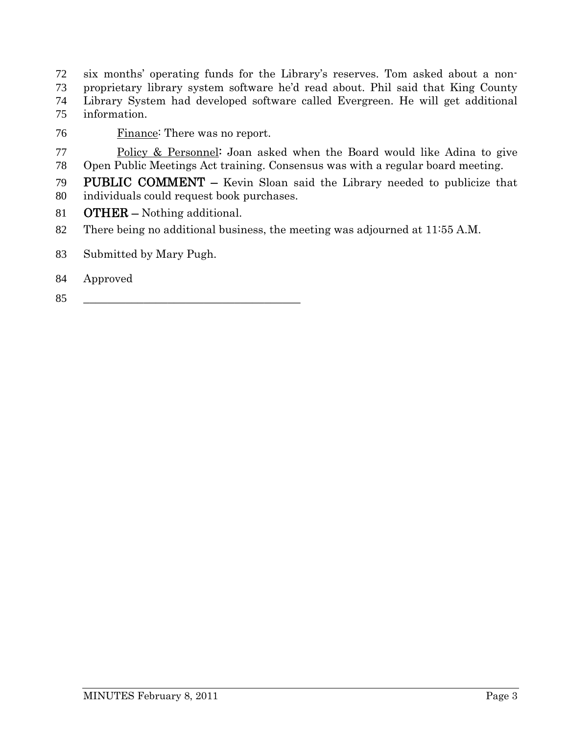six months' operating funds for the Library's reserves. Tom asked about a non-proprietary library system software he'd read about. Phil said that King County Library System had developed software called Evergreen. He will get additional information.

Finance: There was no report.

Policy & Personnel: Joan asked when the Board would like Adina to give Open Public Meetings Act training. Consensus was with a regular board meeting.

PUBLIC COMMENT – Kevin Sloan said the Library needed to publicize that individuals could request book purchases.

OTHER – Nothing additional.

- There being no additional business, the meeting was adjourned at 11:55 A.M.
- Submitted by Mary Pugh.
- Approved
- \_\_\_\_\_\_\_\_\_\_\_\_\_\_\_\_\_\_\_\_\_\_\_\_\_\_\_\_\_\_\_\_\_\_\_\_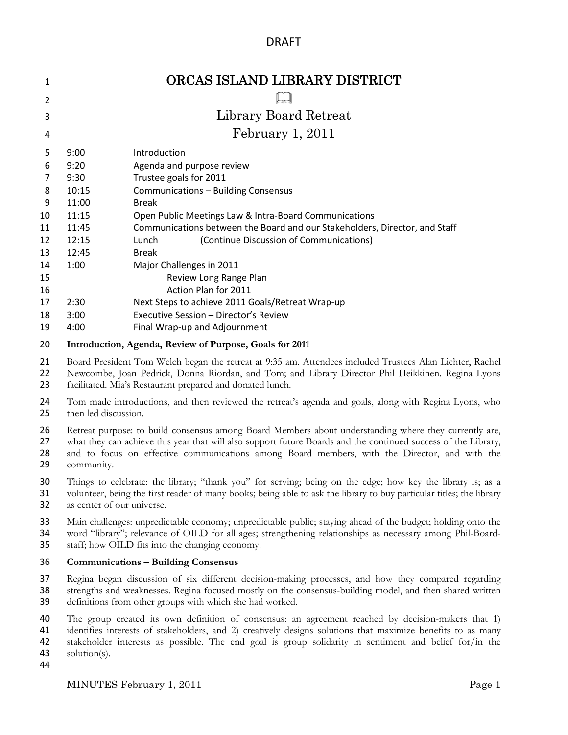# DRAFT

| 1  |       | ORCAS ISLAND LIBRARY DISTRICT                                              |
|----|-------|----------------------------------------------------------------------------|
| 2  |       |                                                                            |
| 3  |       | Library Board Retreat                                                      |
| 4  |       | February 1, 2011                                                           |
| 5  | 9:00  | Introduction                                                               |
| 6  | 9:20  | Agenda and purpose review                                                  |
| 7  | 9:30  | Trustee goals for 2011                                                     |
| 8  | 10:15 | Communications - Building Consensus                                        |
| 9  | 11:00 | <b>Break</b>                                                               |
| 10 | 11:15 | Open Public Meetings Law & Intra-Board Communications                      |
| 11 | 11:45 | Communications between the Board and our Stakeholders, Director, and Staff |
| 12 | 12:15 | Lunch<br>(Continue Discussion of Communications)                           |
| 13 | 12:45 | <b>Break</b>                                                               |
| 14 | 1:00  | Major Challenges in 2011                                                   |
| 15 |       | Review Long Range Plan                                                     |
| 16 |       | Action Plan for 2011                                                       |
| 17 | 2:30  | Next Steps to achieve 2011 Goals/Retreat Wrap-up                           |
| 18 | 3:00  | Executive Session - Director's Review                                      |
| 19 | 4:00  | Final Wrap-up and Adjournment                                              |

#### **Introduction, Agenda, Review of Purpose, Goals for 2011**

Board President Tom Welch began the retreat at 9:35 am. Attendees included Trustees Alan Lichter, Rachel

 Newcombe, Joan Pedrick, Donna Riordan, and Tom; and Library Director Phil Heikkinen. Regina Lyons facilitated. Mia's Restaurant prepared and donated lunch.

24 Tom made introductions, and then reviewed the retreat's agenda and goals, along with Regina Lyons, who then led discussion. then led discussion.

Retreat purpose: to build consensus among Board Members about understanding where they currently are,

what they can achieve this year that will also support future Boards and the continued success of the Library,

- 28 and to focus on effective communications among Board members, with the Director, and with the community. community.
- Things to celebrate: the library; "thank you" for serving; being on the edge; how key the library is; as a volunteer, being the first reader of many books; being able to ask the library to buy particular titles; the library as center of our universe.
- Main challenges: unpredictable economy; unpredictable public; staying ahead of the budget; holding onto the word "library"; relevance of OILD for all ages; strengthening relationships as necessary among Phil-Board-
- staff; how OILD fits into the changing economy.

#### **Communications – Building Consensus**

 Regina began discussion of six different decision-making processes, and how they compared regarding strengths and weaknesses. Regina focused mostly on the consensus-building model, and then shared written definitions from other groups with which she had worked.

 The group created its own definition of consensus: an agreement reached by decision-makers that 1) identifies interests of stakeholders, and 2) creatively designs solutions that maximize benefits to as many stakeholder interests as possible. The end goal is group solidarity in sentiment and belief for/in the solution(s).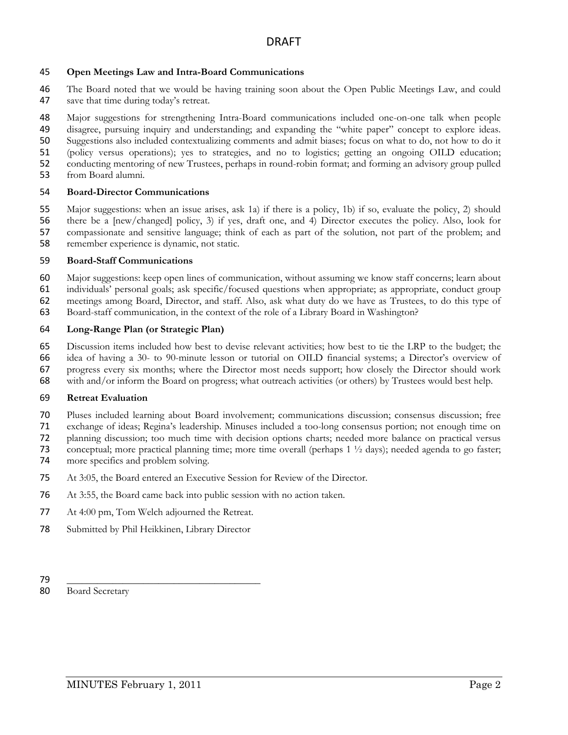#### **Open Meetings Law and Intra-Board Communications**

- The Board noted that we would be having training soon about the Open Public Meetings Law, and could save that time during today's retreat.
- Major suggestions for strengthening Intra-Board communications included one-on-one talk when people disagree, pursuing inquiry and understanding; and expanding the "white paper" concept to explore ideas. Suggestions also included contextualizing comments and admit biases; focus on what to do, not how to do it
- (policy versus operations); yes to strategies, and no to logistics; getting an ongoing OILD education;
- conducting mentoring of new Trustees, perhaps in round-robin format; and forming an advisory group pulled
- from Board alumni.

#### **Board-Director Communications**

 Major suggestions: when an issue arises, ask 1a) if there is a policy, 1b) if so, evaluate the policy, 2) should there be a [new/changed] policy, 3) if yes, draft one, and 4) Director executes the policy. Also, look for compassionate and sensitive language; think of each as part of the solution, not part of the problem; and remember experience is dynamic, not static.

#### **Board-Staff Communications**

Major suggestions: keep open lines of communication, without assuming we know staff concerns; learn about

- individuals' personal goals; ask specific/focused questions when appropriate; as appropriate, conduct group
- meetings among Board, Director, and staff. Also, ask what duty do we have as Trustees, to do this type of
- Board-staff communication, in the context of the role of a Library Board in Washington?

#### **Long-Range Plan (or Strategic Plan)**

Discussion items included how best to devise relevant activities; how best to tie the LRP to the budget; the

- idea of having a 30- to 90-minute lesson or tutorial on OILD financial systems; a Director's overview of
- progress every six months; where the Director most needs support; how closely the Director should work
- with and/or inform the Board on progress; what outreach activities (or others) by Trustees would best help.

#### **Retreat Evaluation**

- Pluses included learning about Board involvement; communications discussion; consensus discussion; free
- exchange of ideas; Regina's leadership. Minuses included a too-long consensus portion; not enough time on
- planning discussion; too much time with decision options charts; needed more balance on practical versus
- conceptual; more practical planning time; more time overall (perhaps 1 ½ days); needed agenda to go faster;
- more specifics and problem solving.
- At 3:05, the Board entered an Executive Session for Review of the Director.
- At 3:55, the Board came back into public session with no action taken.
- At 4:00 pm, Tom Welch adjourned the Retreat.
- Submitted by Phil Heikkinen, Library Director
- \_\_\_\_\_\_\_\_\_\_\_\_\_\_\_\_\_\_\_\_\_\_\_\_\_\_\_\_\_\_\_\_\_\_\_\_\_\_

Board Secretary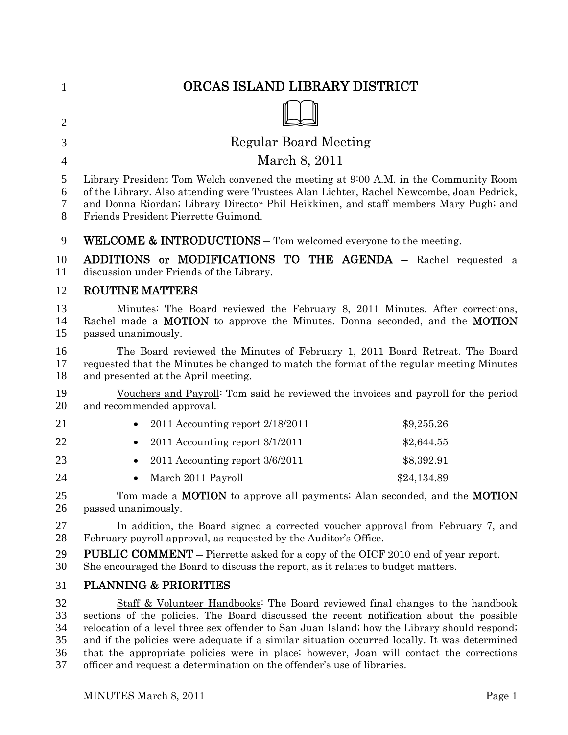| $\mathbf{1}$                     | ORCAS ISLAND LIBRARY DISTRICT                                                                                                                                                                                                                                                                                                                                                                                                                                                                                                                   |
|----------------------------------|-------------------------------------------------------------------------------------------------------------------------------------------------------------------------------------------------------------------------------------------------------------------------------------------------------------------------------------------------------------------------------------------------------------------------------------------------------------------------------------------------------------------------------------------------|
| $\overline{2}$                   |                                                                                                                                                                                                                                                                                                                                                                                                                                                                                                                                                 |
| 3                                | <b>Regular Board Meeting</b>                                                                                                                                                                                                                                                                                                                                                                                                                                                                                                                    |
| $\overline{4}$                   | March 8, 2011                                                                                                                                                                                                                                                                                                                                                                                                                                                                                                                                   |
| 5<br>6<br>7<br>8                 | Library President Tom Welch convened the meeting at 9:00 A.M. in the Community Room<br>of the Library. Also attending were Trustees Alan Lichter, Rachel Newcombe, Joan Pedrick,<br>and Donna Riordan; Library Director Phil Heikkinen, and staff members Mary Pugh; and<br>Friends President Pierrette Guimond.                                                                                                                                                                                                                                |
| 9                                | <b>WELCOME &amp; INTRODUCTIONS -</b> Tom welcomed everyone to the meeting.                                                                                                                                                                                                                                                                                                                                                                                                                                                                      |
| 10<br>11                         | ADDITIONS or MODIFICATIONS TO THE AGENDA - Rachel requested a<br>discussion under Friends of the Library.                                                                                                                                                                                                                                                                                                                                                                                                                                       |
| 12                               | <b>ROUTINE MATTERS</b>                                                                                                                                                                                                                                                                                                                                                                                                                                                                                                                          |
| 13<br>14<br>15                   | Minutes: The Board reviewed the February 8, 2011 Minutes. After corrections,<br>Rachel made a MOTION to approve the Minutes. Donna seconded, and the MOTION<br>passed unanimously.                                                                                                                                                                                                                                                                                                                                                              |
| 16<br>17<br>18                   | The Board reviewed the Minutes of February 1, 2011 Board Retreat. The Board<br>requested that the Minutes be changed to match the format of the regular meeting Minutes<br>and presented at the April meeting.                                                                                                                                                                                                                                                                                                                                  |
| 19<br>20                         | Vouchers and Payroll: Tom said he reviewed the invoices and payroll for the period<br>and recommended approval.                                                                                                                                                                                                                                                                                                                                                                                                                                 |
| 21                               | \$9,255.26<br>2011 Accounting report 2/18/2011                                                                                                                                                                                                                                                                                                                                                                                                                                                                                                  |
| 22                               | 2011 Accounting report 3/1/2011<br>\$2,644.55                                                                                                                                                                                                                                                                                                                                                                                                                                                                                                   |
| 23                               | \$8,392.91<br>2011 Accounting report 3/6/2011                                                                                                                                                                                                                                                                                                                                                                                                                                                                                                   |
| 24                               | March 2011 Payroll<br>\$24,134.89                                                                                                                                                                                                                                                                                                                                                                                                                                                                                                               |
| 25<br>26                         | Tom made a <b>MOTION</b> to approve all payments; Alan seconded, and the <b>MOTION</b><br>passed unanimously.                                                                                                                                                                                                                                                                                                                                                                                                                                   |
| 27<br>28                         | In addition, the Board signed a corrected voucher approval from February 7, and<br>February payroll approval, as requested by the Auditor's Office.                                                                                                                                                                                                                                                                                                                                                                                             |
| 29<br>30                         | <b>PUBLIC COMMENT</b> – Pierrette asked for a copy of the OICF 2010 end of year report.<br>She encouraged the Board to discuss the report, as it relates to budget matters.                                                                                                                                                                                                                                                                                                                                                                     |
| 31                               | <b>PLANNING &amp; PRIORITIES</b>                                                                                                                                                                                                                                                                                                                                                                                                                                                                                                                |
| 32<br>33<br>34<br>35<br>36<br>37 | Staff & Volunteer Handbooks: The Board reviewed final changes to the handbook<br>sections of the policies. The Board discussed the recent notification about the possible<br>relocation of a level three sex offender to San Juan Island; how the Library should respond;<br>and if the policies were adequate if a similar situation occurred locally. It was determined<br>that the appropriate policies were in place; however, Joan will contact the corrections<br>officer and request a determination on the offender's use of libraries. |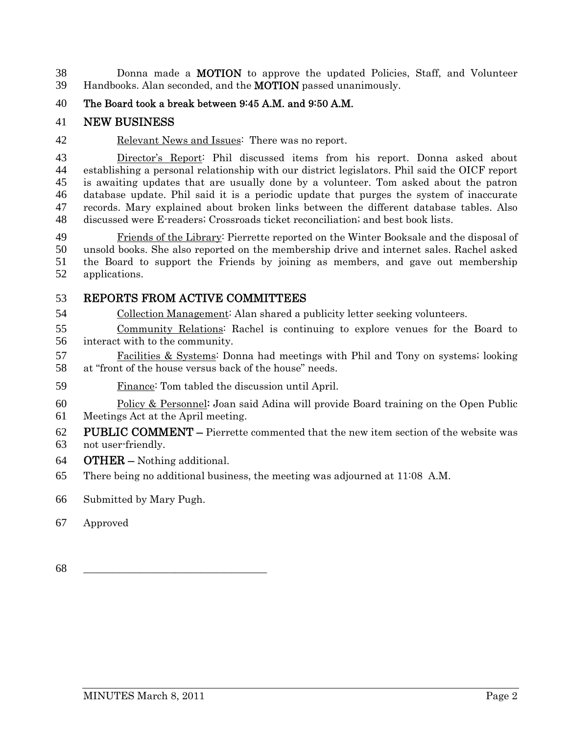Donna made a MOTION to approve the updated Policies, Staff, and Volunteer Handbooks. Alan seconded, and the MOTION passed unanimously.

The Board took a break between 9:45 A.M. and 9:50 A.M.

# NEW BUSINESS

42 Relevant News and Issues: There was no report.

Director's Report: Phil discussed items from his report. Donna asked about establishing a personal relationship with our district legislators. Phil said the OICF report is awaiting updates that are usually done by a volunteer. Tom asked about the patron database update. Phil said it is a periodic update that purges the system of inaccurate records. Mary explained about broken links between the different database tables. Also discussed were E-readers; Crossroads ticket reconciliation; and best book lists.

Friends of the Library: Pierrette reported on the Winter Booksale and the disposal of unsold books. She also reported on the membership drive and internet sales. Rachel asked the Board to support the Friends by joining as members, and gave out membership applications.

# REPORTS FROM ACTIVE COMMITTEES

Collection Management: Alan shared a publicity letter seeking volunteers.

Community Relations: Rachel is continuing to explore venues for the Board to interact with to the community.

Facilities & Systems: Donna had meetings with Phil and Tony on systems; looking at "front of the house versus back of the house" needs.

- Finance: Tom tabled the discussion until April.
- Policy & Personnel: Joan said Adina will provide Board training on the Open Public Meetings Act at the April meeting.
- PUBLIC COMMENT Pierrette commented that the new item section of the website was
- not user-friendly.
- OTHER Nothing additional.
- There being no additional business, the meeting was adjourned at 11:08 A.M.
- Submitted by Mary Pugh.
- Approved
- \_\_\_\_\_\_\_\_\_\_\_\_\_\_\_\_\_\_\_\_\_\_\_\_\_\_\_\_\_\_\_\_\_\_\_\_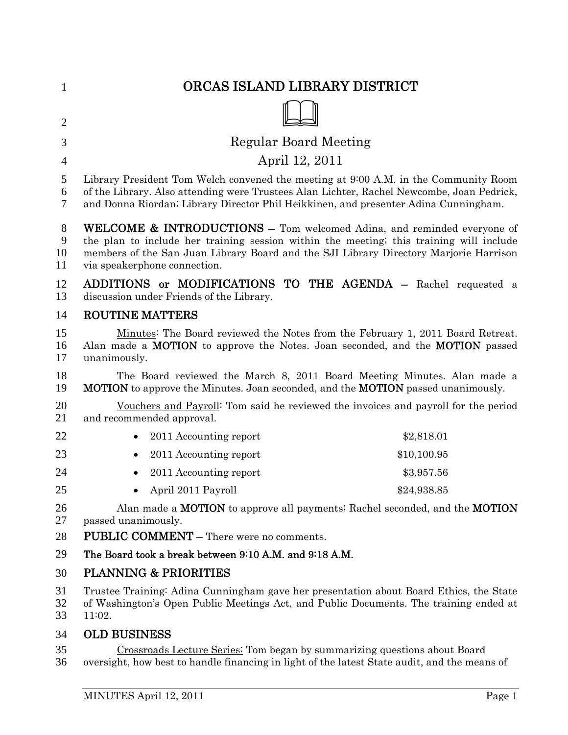| 1                      | ORCAS ISLAND LIBRARY DISTRICT                                                                                                                                                                                                                                                                         |
|------------------------|-------------------------------------------------------------------------------------------------------------------------------------------------------------------------------------------------------------------------------------------------------------------------------------------------------|
|                        |                                                                                                                                                                                                                                                                                                       |
| $\overline{2}$         |                                                                                                                                                                                                                                                                                                       |
| 3                      | <b>Regular Board Meeting</b>                                                                                                                                                                                                                                                                          |
| $\overline{4}$         | April 12, 2011                                                                                                                                                                                                                                                                                        |
| 5<br>6<br>$\tau$       | Library President Tom Welch convened the meeting at 9:00 A.M. in the Community Room<br>of the Library. Also attending were Trustees Alan Lichter, Rachel Newcombe, Joan Pedrick,<br>and Donna Riordan; Library Director Phil Heikkinen, and presenter Adina Cunningham.                               |
| $8\,$<br>9<br>10<br>11 | <b>WELCOME &amp; INTRODUCTIONS –</b> Tom welcomed Adina, and reminded everyone of<br>the plan to include her training session within the meeting; this training will include<br>members of the San Juan Library Board and the SJI Library Directory Marjorie Harrison<br>via speakerphone connection. |
| 12<br>13               | ADDITIONS or MODIFICATIONS TO THE AGENDA - Rachel requested a<br>discussion under Friends of the Library.                                                                                                                                                                                             |
| 14                     | <b>ROUTINE MATTERS</b>                                                                                                                                                                                                                                                                                |
| 15<br>16<br>17         | Minutes: The Board reviewed the Notes from the February 1, 2011 Board Retreat.<br>Alan made a <b>MOTION</b> to approve the Notes. Joan seconded, and the <b>MOTION</b> passed<br>unanimously.                                                                                                         |
| 18<br>19               | The Board reviewed the March 8, 2011 Board Meeting Minutes. Alan made a<br><b>MOTION</b> to approve the Minutes. Joan seconded, and the <b>MOTION</b> passed unanimously.                                                                                                                             |
| 20<br>21               | Vouchers and Payroll <sup>:</sup> Tom said he reviewed the invoices and payroll for the period<br>and recommended approval.                                                                                                                                                                           |
| 22                     | 2011 Accounting report<br>\$2,818.01                                                                                                                                                                                                                                                                  |
| 23                     | 2011 Accounting report<br>\$10,100.95                                                                                                                                                                                                                                                                 |
| 24                     | 2011 Accounting report<br>\$3,957.56                                                                                                                                                                                                                                                                  |
| 25                     | April 2011 Payroll<br>\$24,938.85                                                                                                                                                                                                                                                                     |
| 26<br>27               | Alan made a MOTION to approve all payments; Rachel seconded, and the MOTION<br>passed unanimously.                                                                                                                                                                                                    |
| 28                     | <b>PUBLIC COMMENT – There were no comments.</b>                                                                                                                                                                                                                                                       |
| 29                     | The Board took a break between 9:10 A.M. and 9:18 A.M.                                                                                                                                                                                                                                                |
| 30                     | <b>PLANNING &amp; PRIORITIES</b>                                                                                                                                                                                                                                                                      |
| 31<br>32<br>33         | Trustee Training: Adina Cunningham gave her presentation about Board Ethics, the State<br>of Washington's Open Public Meetings Act, and Public Documents. The training ended at<br>11:02.                                                                                                             |
| 34                     | <b>OLD BUSINESS</b>                                                                                                                                                                                                                                                                                   |
| 35<br>36               | Crossroads Lecture Series: Tom began by summarizing questions about Board<br>oversight, how best to handle financing in light of the latest State audit, and the means of                                                                                                                             |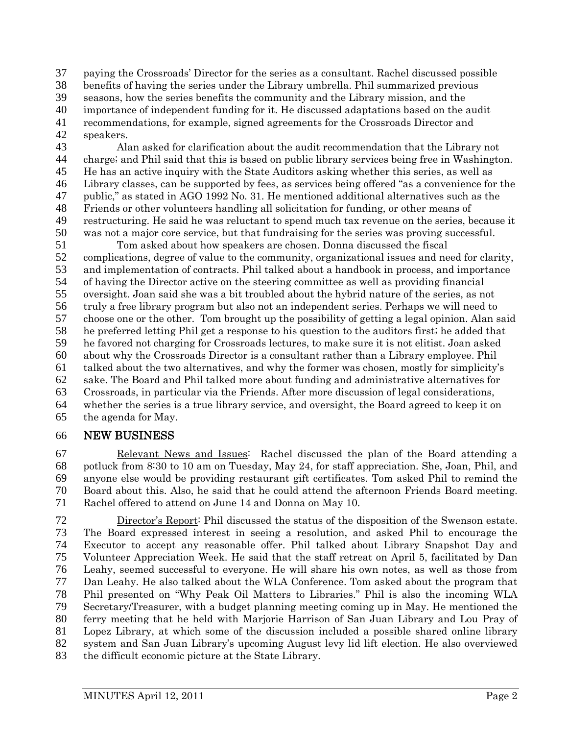paying the Crossroads' Director for the series as a consultant. Rachel discussed possible benefits of having the series under the Library umbrella. Phil summarized previous seasons, how the series benefits the community and the Library mission, and the importance of independent funding for it. He discussed adaptations based on the audit recommendations, for example, signed agreements for the Crossroads Director and speakers.

Alan asked for clarification about the audit recommendation that the Library not charge; and Phil said that this is based on public library services being free in Washington. He has an active inquiry with the State Auditors asking whether this series, as well as Library classes, can be supported by fees, as services being offered "as a convenience for the public," as stated in AGO 1992 No. 31. He mentioned additional alternatives such as the Friends or other volunteers handling all solicitation for funding, or other means of restructuring. He said he was reluctant to spend much tax revenue on the series, because it was not a major core service, but that fundraising for the series was proving successful.

Tom asked about how speakers are chosen. Donna discussed the fiscal complications, degree of value to the community, organizational issues and need for clarity, and implementation of contracts. Phil talked about a handbook in process, and importance of having the Director active on the steering committee as well as providing financial oversight. Joan said she was a bit troubled about the hybrid nature of the series, as not truly a free library program but also not an independent series. Perhaps we will need to choose one or the other. Tom brought up the possibility of getting a legal opinion. Alan said he preferred letting Phil get a response to his question to the auditors first; he added that he favored not charging for Crossroads lectures, to make sure it is not elitist. Joan asked about why the Crossroads Director is a consultant rather than a Library employee. Phil talked about the two alternatives, and why the former was chosen, mostly for simplicity's sake. The Board and Phil talked more about funding and administrative alternatives for Crossroads, in particular via the Friends. After more discussion of legal considerations, whether the series is a true library service, and oversight, the Board agreed to keep it on the agenda for May.

# NEW BUSINESS

Relevant News and Issues: Rachel discussed the plan of the Board attending a potluck from 8:30 to 10 am on Tuesday, May 24, for staff appreciation. She, Joan, Phil, and anyone else would be providing restaurant gift certificates. Tom asked Phil to remind the Board about this. Also, he said that he could attend the afternoon Friends Board meeting. Rachel offered to attend on June 14 and Donna on May 10.

Director's Report: Phil discussed the status of the disposition of the Swenson estate. The Board expressed interest in seeing a resolution, and asked Phil to encourage the Executor to accept any reasonable offer. Phil talked about Library Snapshot Day and Volunteer Appreciation Week. He said that the staff retreat on April 5, facilitated by Dan Leahy, seemed successful to everyone. He will share his own notes, as well as those from Dan Leahy. He also talked about the WLA Conference. Tom asked about the program that Phil presented on "Why Peak Oil Matters to Libraries." Phil is also the incoming WLA Secretary/Treasurer, with a budget planning meeting coming up in May. He mentioned the ferry meeting that he held with Marjorie Harrison of San Juan Library and Lou Pray of Lopez Library, at which some of the discussion included a possible shared online library system and San Juan Library's upcoming August levy lid lift election. He also overviewed the difficult economic picture at the State Library.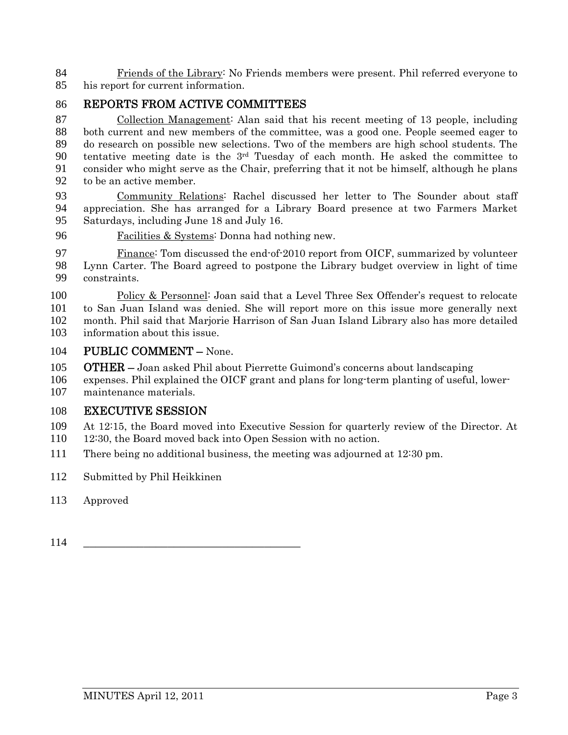Friends of the Library: No Friends members were present. Phil referred everyone to his report for current information.

# REPORTS FROM ACTIVE COMMITTEES

Collection Management: Alan said that his recent meeting of 13 people, including both current and new members of the committee, was a good one. People seemed eager to do research on possible new selections. Two of the members are high school students. The 90 tentative meeting date is the  $3<sup>rd</sup>$  Tuesday of each month. He asked the committee to consider who might serve as the Chair, preferring that it not be himself, although he plans to be an active member.

Community Relations: Rachel discussed her letter to The Sounder about staff appreciation. She has arranged for a Library Board presence at two Farmers Market Saturdays, including June 18 and July 16.

Facilities & Systems: Donna had nothing new.

Finance: Tom discussed the end-of-2010 report from OICF, summarized by volunteer Lynn Carter. The Board agreed to postpone the Library budget overview in light of time constraints.

- 100 Policy & Personnel: Joan said that a Level Three Sex Offender's request to relocate to San Juan Island was denied. She will report more on this issue more generally next month. Phil said that Marjorie Harrison of San Juan Island Library also has more detailed information about this issue.
- PUBLIC COMMENT None.
- 105 OTHER Joan asked Phil about Pierrette Guimond's concerns about landscaping
- expenses. Phil explained the OICF grant and plans for long-term planting of useful, lower-maintenance materials.

### EXECUTIVE SESSION

At 12:15, the Board moved into Executive Session for quarterly review of the Director. At

- 12:30, the Board moved back into Open Session with no action.
- There being no additional business, the meeting was adjourned at 12:30 pm.
- Submitted by Phil Heikkinen
- Approved
- \_\_\_\_\_\_\_\_\_\_\_\_\_\_\_\_\_\_\_\_\_\_\_\_\_\_\_\_\_\_\_\_\_\_\_\_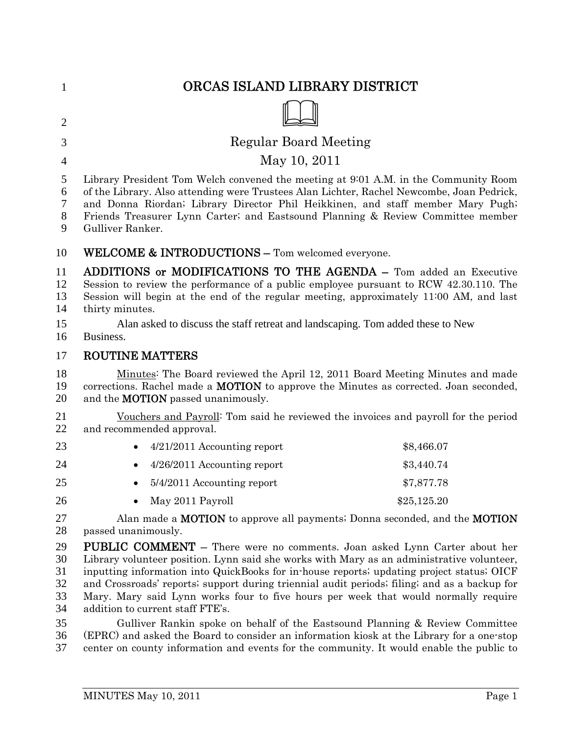| $\mathbf{1}$                           | ORCAS ISLAND LIBRARY DISTRICT                                                                                                                                                                                                                                                                                                                                                                                                                                                                                                                                                 |  |
|----------------------------------------|-------------------------------------------------------------------------------------------------------------------------------------------------------------------------------------------------------------------------------------------------------------------------------------------------------------------------------------------------------------------------------------------------------------------------------------------------------------------------------------------------------------------------------------------------------------------------------|--|
| $\overline{2}$                         |                                                                                                                                                                                                                                                                                                                                                                                                                                                                                                                                                                               |  |
| 3                                      | Regular Board Meeting                                                                                                                                                                                                                                                                                                                                                                                                                                                                                                                                                         |  |
| $\overline{4}$                         | May 10, 2011                                                                                                                                                                                                                                                                                                                                                                                                                                                                                                                                                                  |  |
| 5<br>6<br>7<br>8<br>9                  | Library President Tom Welch convened the meeting at 9:01 A.M. in the Community Room<br>of the Library. Also attending were Trustees Alan Lichter, Rachel Newcombe, Joan Pedrick,<br>and Donna Riordan; Library Director Phil Heikkinen, and staff member Mary Pugh;<br>Friends Treasurer Lynn Carter; and Eastsound Planning & Review Committee member<br>Gulliver Ranker.                                                                                                                                                                                                    |  |
| 10                                     | <b>WELCOME &amp; INTRODUCTIONS - Tom welcomed everyone.</b>                                                                                                                                                                                                                                                                                                                                                                                                                                                                                                                   |  |
| 11<br>12<br>13<br>14                   | ADDITIONS or MODIFICATIONS TO THE AGENDA - Tom added an Executive<br>Session to review the performance of a public employee pursuant to RCW 42.30.110. The<br>Session will begin at the end of the regular meeting, approximately 11:00 AM, and last<br>thirty minutes.                                                                                                                                                                                                                                                                                                       |  |
| 15<br>16                               | Alan asked to discuss the staff retreat and landscaping. Tom added these to New<br>Business.                                                                                                                                                                                                                                                                                                                                                                                                                                                                                  |  |
| 17                                     | <b>ROUTINE MATTERS</b>                                                                                                                                                                                                                                                                                                                                                                                                                                                                                                                                                        |  |
| 18<br>19<br>20                         | Minutes: The Board reviewed the April 12, 2011 Board Meeting Minutes and made<br>corrections. Rachel made a <b>MOTION</b> to approve the Minutes as corrected. Joan seconded,<br>and the MOTION passed unanimously.                                                                                                                                                                                                                                                                                                                                                           |  |
| 21<br>22                               | <u>Vouchers and Payroll</u> : Tom said he reviewed the invoices and payroll for the period<br>and recommended approval.                                                                                                                                                                                                                                                                                                                                                                                                                                                       |  |
| 23                                     | $4/21/2011$ Accounting report<br>\$8,466.07                                                                                                                                                                                                                                                                                                                                                                                                                                                                                                                                   |  |
| 24                                     | 4/26/2011 Accounting report<br>\$3,440.74                                                                                                                                                                                                                                                                                                                                                                                                                                                                                                                                     |  |
| 25                                     | \$7,877.78<br>5/4/2011 Accounting report                                                                                                                                                                                                                                                                                                                                                                                                                                                                                                                                      |  |
| 26                                     | May 2011 Payroll<br>\$25,125.20                                                                                                                                                                                                                                                                                                                                                                                                                                                                                                                                               |  |
| 27<br>28                               | Alan made a <b>MOTION</b> to approve all payments; Donna seconded, and the <b>MOTION</b><br>passed unanimously.                                                                                                                                                                                                                                                                                                                                                                                                                                                               |  |
| 29<br>30<br>31<br>32<br>33<br>34<br>35 | PUBLIC COMMENT - There were no comments. Joan asked Lynn Carter about her<br>Library volunteer position. Lynn said she works with Mary as an administrative volunteer,<br>inputting information into QuickBooks for in-house reports; updating project status; OICF<br>and Crossroads' reports; support during triennial audit periods; filing; and as a backup for<br>Mary. Mary said Lynn works four to five hours per week that would normally require<br>addition to current staff FTE's.<br>Gulliver Rankin spoke on behalf of the Eastsound Planning & Review Committee |  |
| 36                                     | (EPRC) and asked the Board to consider an information kiosk at the Library for a one-stop                                                                                                                                                                                                                                                                                                                                                                                                                                                                                     |  |

center on county information and events for the community. It would enable the public to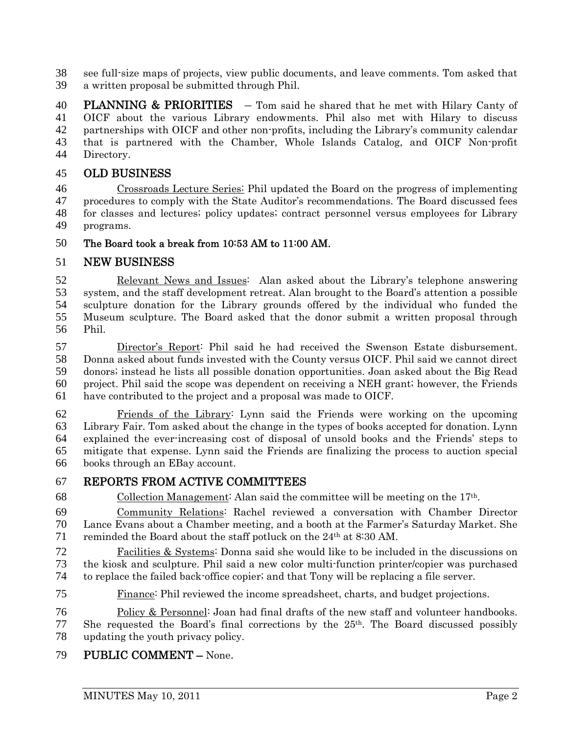see full-size maps of projects, view public documents, and leave comments. Tom asked that a written proposal be submitted through Phil.

40 PLANNING & PRIORITIES  $-$  Tom said he shared that he met with Hilary Canty of OICF about the various Library endowments. Phil also met with Hilary to discuss partnerships with OICF and other non-profits, including the Library's community calendar that is partnered with the Chamber, Whole Islands Catalog, and OICF Non-profit Directory.

# OLD BUSINESS

Crossroads Lecture Series: Phil updated the Board on the progress of implementing procedures to comply with the State Auditor's recommendations. The Board discussed fees for classes and lectures; policy updates; contract personnel versus employees for Library programs.

### The Board took a break from 10:53 AM to 11:00 AM.

### NEW BUSINESS

Relevant News and Issues: Alan asked about the Library's telephone answering system, and the staff development retreat. Alan brought to the Board's attention a possible sculpture donation for the Library grounds offered by the individual who funded the Museum sculpture. The Board asked that the donor submit a written proposal through Phil.

Director's Report: Phil said he had received the Swenson Estate disbursement. Donna asked about funds invested with the County versus OICF. Phil said we cannot direct donors; instead he lists all possible donation opportunities. Joan asked about the Big Read project. Phil said the scope was dependent on receiving a NEH grant; however, the Friends have contributed to the project and a proposal was made to OICF.

Friends of the Library: Lynn said the Friends were working on the upcoming Library Fair. Tom asked about the change in the types of books accepted for donation. Lynn explained the ever-increasing cost of disposal of unsold books and the Friends' steps to mitigate that expense. Lynn said the Friends are finalizing the process to auction special books through an EBay account.

# REPORTS FROM ACTIVE COMMITTEES

68 Collection Management: Alan said the committee will be meeting on the  $17<sup>th</sup>$ .

Community Relations: Rachel reviewed a conversation with Chamber Director Lance Evans about a Chamber meeting, and a booth at the Farmer's Saturday Market. She 71 reminded the Board about the staff potluck on the  $24<sup>th</sup>$  at 8:30 AM.

Facilities & Systems: Donna said she would like to be included in the discussions on the kiosk and sculpture. Phil said a new color multi-function printer/copier was purchased to replace the failed back-office copier; and that Tony will be replacing a file server.

Finance: Phil reviewed the income spreadsheet, charts, and budget projections.

Policy & Personnel: Joan had final drafts of the new staff and volunteer handbooks. She requested the Board's final corrections by the  $25<sup>th</sup>$ . The Board discussed possibly updating the youth privacy policy.

# PUBLIC COMMENT – None.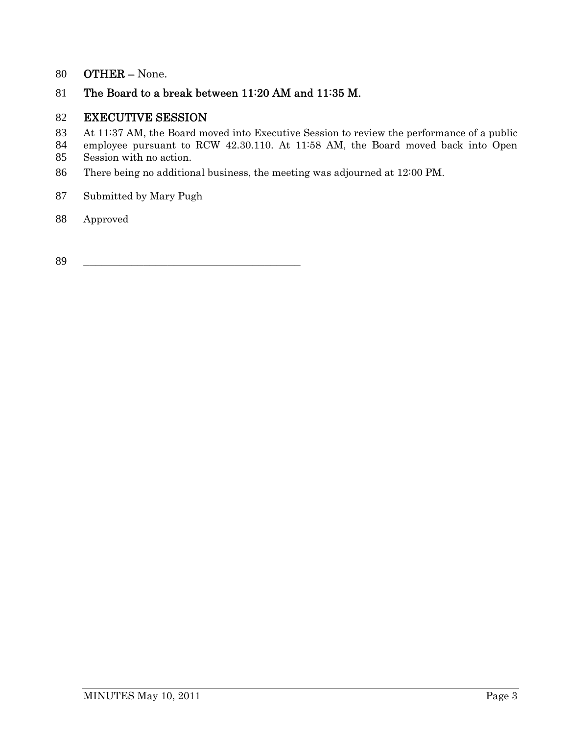# OTHER – None.

# The Board to a break between 11:20 AM and 11:35 M.

### EXECUTIVE SESSION

- 83 At 11:37 AM, the Board moved into Executive Session to review the performance of a public
- employee pursuant to RCW 42.30.110. At 11:58 AM, the Board moved back into Open Session with no action.
- There being no additional business, the meeting was adjourned at 12:00 PM.
- Submitted by Mary Pugh
- Approved

\_\_\_\_\_\_\_\_\_\_\_\_\_\_\_\_\_\_\_\_\_\_\_\_\_\_\_\_\_\_\_\_\_\_\_\_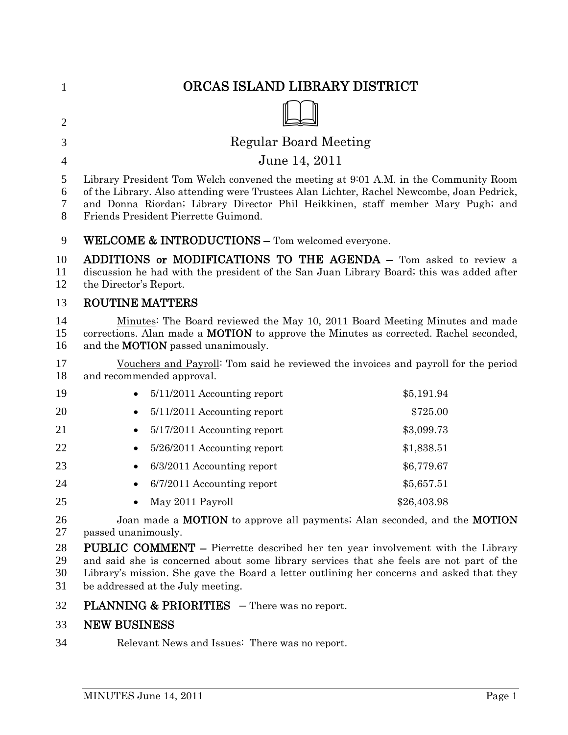| $\mathbf{1}$         | ORCAS ISLAND LIBRARY DISTRICT                                                                                                                                                                                                                                                                                       |             |
|----------------------|---------------------------------------------------------------------------------------------------------------------------------------------------------------------------------------------------------------------------------------------------------------------------------------------------------------------|-------------|
| $\overline{2}$       |                                                                                                                                                                                                                                                                                                                     |             |
| 3                    | <b>Regular Board Meeting</b>                                                                                                                                                                                                                                                                                        |             |
| 4                    | June 14, 2011                                                                                                                                                                                                                                                                                                       |             |
| 5<br>6<br>7<br>8     | Library President Tom Welch convened the meeting at 9:01 A.M. in the Community Room<br>of the Library. Also attending were Trustees Alan Lichter, Rachel Newcombe, Joan Pedrick,<br>and Donna Riordan; Library Director Phil Heikkinen, staff member Mary Pugh; and<br>Friends President Pierrette Guimond.         |             |
| 9                    | WELCOME & INTRODUCTIONS - Tom welcomed everyone.                                                                                                                                                                                                                                                                    |             |
| 10<br>11<br>12       | ADDITIONS or MODIFICATIONS TO THE AGENDA - Tom asked to review a<br>discussion he had with the president of the San Juan Library Board; this was added after<br>the Director's Report.                                                                                                                              |             |
| 13                   | <b>ROUTINE MATTERS</b>                                                                                                                                                                                                                                                                                              |             |
| 14<br>15<br>16       | Minutes: The Board reviewed the May 10, 2011 Board Meeting Minutes and made<br>corrections. Alan made a <b>MOTION</b> to approve the Minutes as corrected. Rachel seconded,<br>and the <b>MOTION</b> passed unanimously.                                                                                            |             |
| 17<br>18             | Vouchers and Payroll <sup>:</sup> Tom said he reviewed the invoices and payroll for the period<br>and recommended approval.                                                                                                                                                                                         |             |
| 19                   | 5/11/2011 Accounting report                                                                                                                                                                                                                                                                                         | \$5,191.94  |
| 20                   | 5/11/2011 Accounting report<br>$\bullet$                                                                                                                                                                                                                                                                            | \$725.00    |
| 21                   | 5/17/2011 Accounting report<br>$\bullet$                                                                                                                                                                                                                                                                            | \$3,099.73  |
| 22                   | 5/26/2011 Accounting report                                                                                                                                                                                                                                                                                         | \$1,838.51  |
| 23                   | 6/3/2011 Accounting report<br>$\bullet$                                                                                                                                                                                                                                                                             | \$6,779.67  |
| 24                   | 6/7/2011 Accounting report<br>٠                                                                                                                                                                                                                                                                                     | \$5,657.51  |
| 25                   | May 2011 Payroll                                                                                                                                                                                                                                                                                                    | \$26,403.98 |
| 26<br>27             | Joan made a <b>MOTION</b> to approve all payments; Alan seconded, and the <b>MOTION</b><br>passed unanimously.                                                                                                                                                                                                      |             |
| 28<br>29<br>30<br>31 | <b>PUBLIC COMMENT</b> – Pierrette described her ten year involvement with the Library<br>and said she is concerned about some library services that she feels are not part of the<br>Library's mission. She gave the Board a letter outlining her concerns and asked that they<br>be addressed at the July meeting. |             |
| 32                   | <b>PLANNING &amp; PRIORITIES</b> - There was no report.                                                                                                                                                                                                                                                             |             |

# NEW BUSINESS

Relevant News and Issues: There was no report.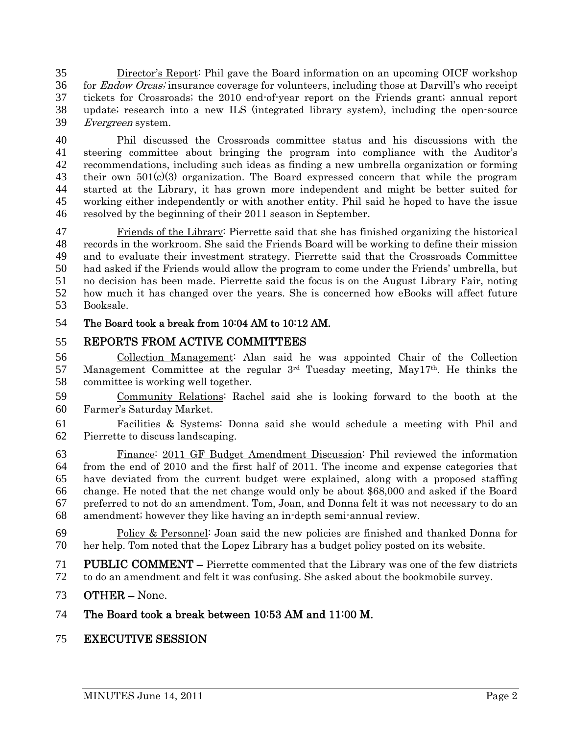Director's Report: Phil gave the Board information on an upcoming OICF workshop 36 for *Endow Orcas*; insurance coverage for volunteers, including those at Darvill's who receipt tickets for Crossroads; the 2010 end-of-year report on the Friends grant; annual report update; research into a new ILS (integrated library system), including the open-source Evergreen system.

Phil discussed the Crossroads committee status and his discussions with the steering committee about bringing the program into compliance with the Auditor's recommendations, including such ideas as finding a new umbrella organization or forming their own 501(c)(3) organization. The Board expressed concern that while the program started at the Library, it has grown more independent and might be better suited for working either independently or with another entity. Phil said he hoped to have the issue resolved by the beginning of their 2011 season in September.

Friends of the Library: Pierrette said that she has finished organizing the historical records in the workroom. She said the Friends Board will be working to define their mission and to evaluate their investment strategy. Pierrette said that the Crossroads Committee had asked if the Friends would allow the program to come under the Friends' umbrella, but no decision has been made. Pierrette said the focus is on the August Library Fair, noting how much it has changed over the years. She is concerned how eBooks will affect future Booksale.

# The Board took a break from 10:04 AM to 10:12 AM.

# REPORTS FROM ACTIVE COMMITTEES

Collection Management: Alan said he was appointed Chair of the Collection 57 Management Committee at the regular  $3<sup>rd</sup>$  Tuesday meeting, May17<sup>th</sup>. He thinks the committee is working well together.

Community Relations: Rachel said she is looking forward to the booth at the Farmer's Saturday Market.

Facilities & Systems: Donna said she would schedule a meeting with Phil and Pierrette to discuss landscaping.

Finance: 2011 GF Budget Amendment Discussion: Phil reviewed the information from the end of 2010 and the first half of 2011. The income and expense categories that have deviated from the current budget were explained, along with a proposed staffing change. He noted that the net change would only be about \$68,000 and asked if the Board preferred to not do an amendment. Tom, Joan, and Donna felt it was not necessary to do an amendment; however they like having an in-depth semi-annual review.

Policy & Personnel: Joan said the new policies are finished and thanked Donna for her help. Tom noted that the Lopez Library has a budget policy posted on its website.

PUBLIC COMMENT – Pierrette commented that the Library was one of the few districts to do an amendment and felt it was confusing. She asked about the bookmobile survey.

OTHER – None.

# The Board took a break between 10:53 AM and 11:00 M.

# EXECUTIVE SESSION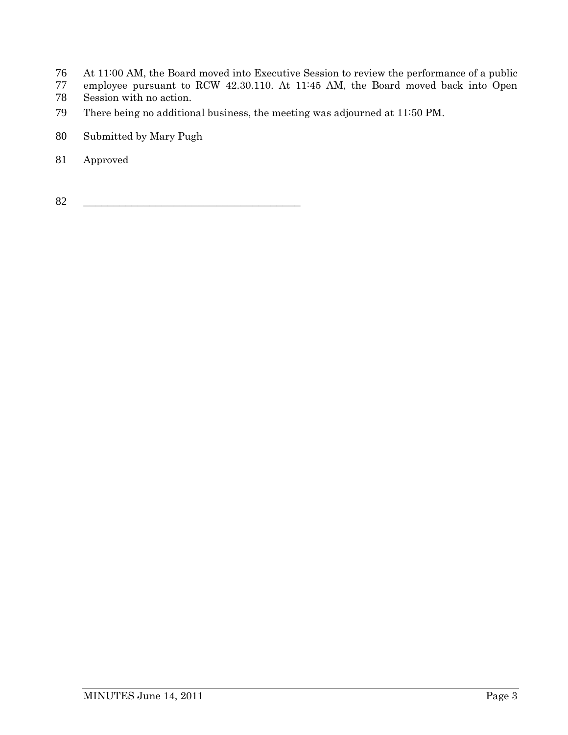- At 11:00 AM, the Board moved into Executive Session to review the performance of a public
- employee pursuant to RCW 42.30.110. At 11:45 AM, the Board moved back into Open
- Session with no action.
- There being no additional business, the meeting was adjourned at 11:50 PM.
- Submitted by Mary Pugh
- Approved

\_\_\_\_\_\_\_\_\_\_\_\_\_\_\_\_\_\_\_\_\_\_\_\_\_\_\_\_\_\_\_\_\_\_\_\_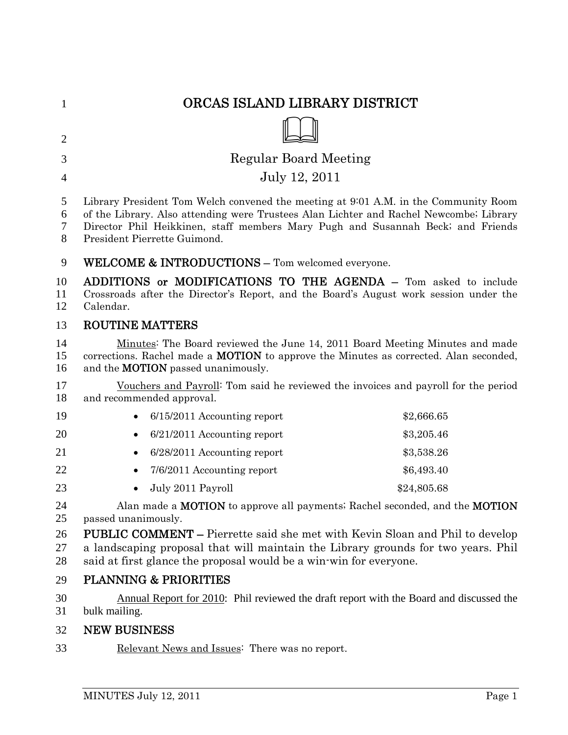| $\mathbf{1}$     | ORCAS ISLAND LIBRARY DISTRICT                                                                                                                                                                                                                                                                    |             |
|------------------|--------------------------------------------------------------------------------------------------------------------------------------------------------------------------------------------------------------------------------------------------------------------------------------------------|-------------|
| $\overline{2}$   |                                                                                                                                                                                                                                                                                                  |             |
| 3                | <b>Regular Board Meeting</b>                                                                                                                                                                                                                                                                     |             |
| $\overline{4}$   | July 12, 2011                                                                                                                                                                                                                                                                                    |             |
| 5<br>6<br>7<br>8 | Library President Tom Welch convened the meeting at 9:01 A.M. in the Community Room<br>of the Library. Also attending were Trustees Alan Lichter and Rachel Newcombe; Library<br>Director Phil Heikkinen, staff members Mary Pugh and Susannah Beck; and Friends<br>President Pierrette Guimond. |             |
| 9                | WELCOME & INTRODUCTIONS - Tom welcomed everyone.                                                                                                                                                                                                                                                 |             |
| 10<br>11<br>12   | ADDITIONS or MODIFICATIONS TO THE AGENDA - Tom asked to include<br>Crossroads after the Director's Report, and the Board's August work session under the<br>Calendar.                                                                                                                            |             |
| 13               | <b>ROUTINE MATTERS</b>                                                                                                                                                                                                                                                                           |             |
| 14<br>15<br>16   | Minutes: The Board reviewed the June 14, 2011 Board Meeting Minutes and made<br>corrections. Rachel made a <b>MOTION</b> to approve the Minutes as corrected. Alan seconded,<br>and the <b>MOTION</b> passed unanimously.                                                                        |             |
| 17<br>18         | Vouchers and Payroll <sup>:</sup> Tom said he reviewed the invoices and payroll for the period<br>and recommended approval.                                                                                                                                                                      |             |
| 19               | 6/15/2011 Accounting report                                                                                                                                                                                                                                                                      | \$2,666.65  |
| 20               | $6/21/2011$ Accounting report<br>$\bullet$                                                                                                                                                                                                                                                       | \$3,205.46  |
| 21               | 6/28/2011 Accounting report                                                                                                                                                                                                                                                                      | \$3,538.26  |
| 22               | 7/6/2011 Accounting report                                                                                                                                                                                                                                                                       | \$6,493.40  |
| 23               | July 2011 Payroll                                                                                                                                                                                                                                                                                | \$24,805.68 |
| 24<br>25         | Alan made a <b>MOTION</b> to approve all payments; Rachel seconded, and the <b>MOTION</b><br>passed unanimously.                                                                                                                                                                                 |             |
| 26<br>27<br>28   | <b>PUBLIC COMMENT –</b> Pierrette said she met with Kevin Sloan and Phil to develop<br>a landscaping proposal that will maintain the Library grounds for two years. Phil<br>said at first glance the proposal would be a win-win for everyone.                                                   |             |
| 29               | <b>PLANNING &amp; PRIORITIES</b>                                                                                                                                                                                                                                                                 |             |
| 30<br>31         | Annual Report for 2010: Phil reviewed the draft report with the Board and discussed the<br>bulk mailing.                                                                                                                                                                                         |             |
| 32               | <b>NEW BUSINESS</b>                                                                                                                                                                                                                                                                              |             |
| 33               | Relevant News and Issues: There was no report.                                                                                                                                                                                                                                                   |             |
|                  |                                                                                                                                                                                                                                                                                                  |             |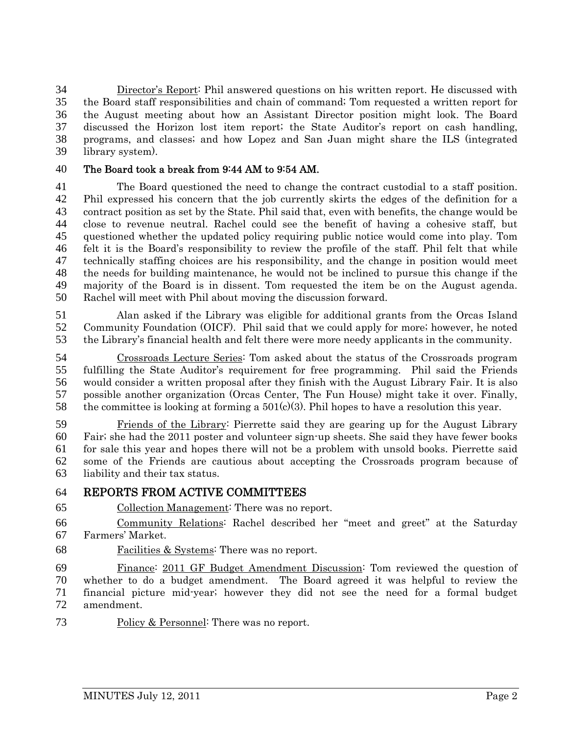Director's Report: Phil answered questions on his written report. He discussed with the Board staff responsibilities and chain of command; Tom requested a written report for the August meeting about how an Assistant Director position might look. The Board discussed the Horizon lost item report; the State Auditor's report on cash handling, programs, and classes; and how Lopez and San Juan might share the ILS (integrated library system).

#### The Board took a break from 9:44 AM to 9:54 AM.

The Board questioned the need to change the contract custodial to a staff position. Phil expressed his concern that the job currently skirts the edges of the definition for a contract position as set by the State. Phil said that, even with benefits, the change would be close to revenue neutral. Rachel could see the benefit of having a cohesive staff, but questioned whether the updated policy requiring public notice would come into play. Tom felt it is the Board's responsibility to review the profile of the staff. Phil felt that while technically staffing choices are his responsibility, and the change in position would meet the needs for building maintenance, he would not be inclined to pursue this change if the majority of the Board is in dissent. Tom requested the item be on the August agenda. Rachel will meet with Phil about moving the discussion forward.

Alan asked if the Library was eligible for additional grants from the Orcas Island Community Foundation (OICF). Phil said that we could apply for more; however, he noted the Library's financial health and felt there were more needy applicants in the community.

Crossroads Lecture Series: Tom asked about the status of the Crossroads program fulfilling the State Auditor's requirement for free programming. Phil said the Friends would consider a written proposal after they finish with the August Library Fair. It is also possible another organization (Orcas Center, The Fun House) might take it over. Finally, 58 the committee is looking at forming a  $501(c)(3)$ . Phil hopes to have a resolution this year.

Friends of the Library: Pierrette said they are gearing up for the August Library Fair; she had the 2011 poster and volunteer sign-up sheets. She said they have fewer books for sale this year and hopes there will not be a problem with unsold books. Pierrette said some of the Friends are cautious about accepting the Crossroads program because of liability and their tax status.

### REPORTS FROM ACTIVE COMMITTEES

Collection Management: There was no report.

Community Relations: Rachel described her "meet and greet" at the Saturday Farmers' Market.

Facilities & Systems: There was no report.

Finance: 2011 GF Budget Amendment Discussion: Tom reviewed the question of whether to do a budget amendment. The Board agreed it was helpful to review the financial picture mid-year; however they did not see the need for a formal budget amendment.

73 Policy & Personnel: There was no report.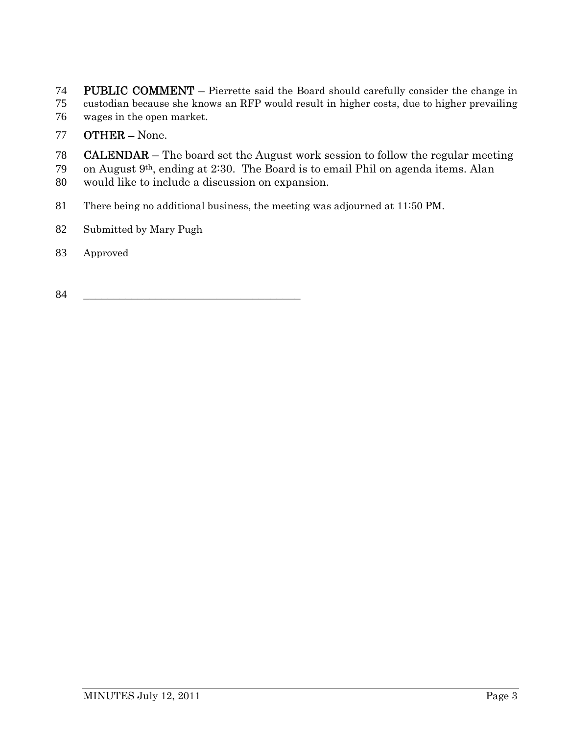74 PUBLIC COMMENT – Pierrette said the Board should carefully consider the change in custodian because she knows an RFP would result in higher costs, due to higher prevailing wages in the open market.

# OTHER – None.

CALENDAR – The board set the August work session to follow the regular meeting

79 on August  $9<sup>th</sup>$ , ending at 2:30. The Board is to email Phil on agenda items. Alan would like to include a discussion on expansion.

There being no additional business, the meeting was adjourned at 11:50 PM.

- Submitted by Mary Pugh
- Approved
- \_\_\_\_\_\_\_\_\_\_\_\_\_\_\_\_\_\_\_\_\_\_\_\_\_\_\_\_\_\_\_\_\_\_\_\_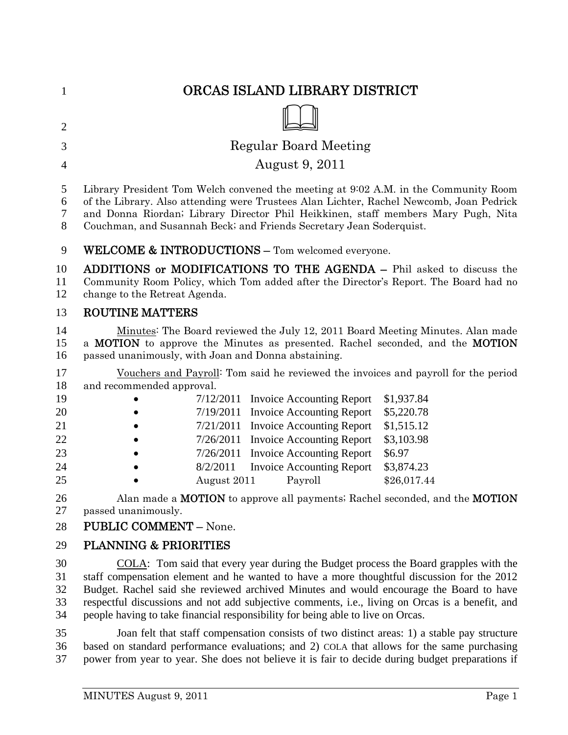| 1                | ORCAS ISLAND LIBRARY DISTRICT                                                                                                                                                                                                                                                                                                              |
|------------------|--------------------------------------------------------------------------------------------------------------------------------------------------------------------------------------------------------------------------------------------------------------------------------------------------------------------------------------------|
| $\overline{2}$   |                                                                                                                                                                                                                                                                                                                                            |
| 3                | <b>Regular Board Meeting</b>                                                                                                                                                                                                                                                                                                               |
| $\overline{4}$   | <b>August 9, 2011</b>                                                                                                                                                                                                                                                                                                                      |
| 5<br>6<br>7<br>8 | Library President Tom Welch convened the meeting at 9:02 A.M. in the Community Room<br>of the Library. Also attending were Trustees Alan Lichter, Rachel Newcomb, Joan Pedrick<br>and Donna Riordan; Library Director Phil Heikkinen, staff members Mary Pugh, Nita<br>Couchman, and Susannah Beck; and Friends Secretary Jean Soderquist. |
| 9                | <b>WELCOME &amp; INTRODUCTIONS - Tom welcomed everyone.</b>                                                                                                                                                                                                                                                                                |
| 10<br>11<br>12   | <b>ADDITIONS or MODIFICATIONS TO THE AGENDA –</b> Phil asked to discuss the<br>Community Room Policy, which Tom added after the Director's Report. The Board had no<br>change to the Retreat Agenda.                                                                                                                                       |
| 13               | <b>ROUTINE MATTERS</b>                                                                                                                                                                                                                                                                                                                     |
| 14<br>15<br>16   | Minutes: The Board reviewed the July 12, 2011 Board Meeting Minutes. Alan made<br>a MOTION to approve the Minutes as presented. Rachel seconded, and the MOTION<br>passed unanimously, with Joan and Donna abstaining.                                                                                                                     |
| 17<br>18         | Vouchers and Payroll <sup>:</sup> Tom said he reviewed the invoices and payroll for the period<br>and recommended approval.                                                                                                                                                                                                                |
| 19               | 7/12/2011<br>\$1,937.84<br><b>Invoice Accounting Report</b>                                                                                                                                                                                                                                                                                |
| 20               | 7/19/2011 Invoice Accounting Report<br>\$5,220.78                                                                                                                                                                                                                                                                                          |
| 21               | 7/21/2011 Invoice Accounting Report<br>\$1,515.12                                                                                                                                                                                                                                                                                          |
| 22               | <b>Invoice Accounting Report</b><br>\$3,103.98<br>7/26/2011                                                                                                                                                                                                                                                                                |
| 23               | 7/26/2011<br>\$6.97<br><b>Invoice Accounting Report</b>                                                                                                                                                                                                                                                                                    |
| 24               | 8/2/2011<br><b>Invoice Accounting Report</b><br>\$3,874.23                                                                                                                                                                                                                                                                                 |
| 25               | Payroll<br>\$26,017.44<br>August 2011                                                                                                                                                                                                                                                                                                      |
| 26               | Alan made a MOTION to approve all payments; Rachel seconded, and the MOTION                                                                                                                                                                                                                                                                |
| 27               | passed unanimously.                                                                                                                                                                                                                                                                                                                        |
| 28               | <b>PUBLIC COMMENT - None.</b>                                                                                                                                                                                                                                                                                                              |
| 29               | <b>PLANNING &amp; PRIORITIES</b>                                                                                                                                                                                                                                                                                                           |
| 30               | COLA: Tom said that every year during the Budget process the Board grapples with the                                                                                                                                                                                                                                                       |
| 31               | staff compensation element and he wanted to have a more thoughtful discussion for the 2012                                                                                                                                                                                                                                                 |
| 32<br>33         | Budget. Rachel said she reviewed archived Minutes and would encourage the Board to have<br>respectful discussions and not add subjective comments, i.e., living on Orcas is a benefit, and                                                                                                                                                 |

35 Joan felt that staff compensation consists of two distinct areas: 1) a stable pay structure 36 based on standard performance evaluations; and 2) COLA that allows for the same purchasing 37 power from year to year. She does not believe it is fair to decide during budget preparations if

34 people having to take financial responsibility for being able to live on Orcas.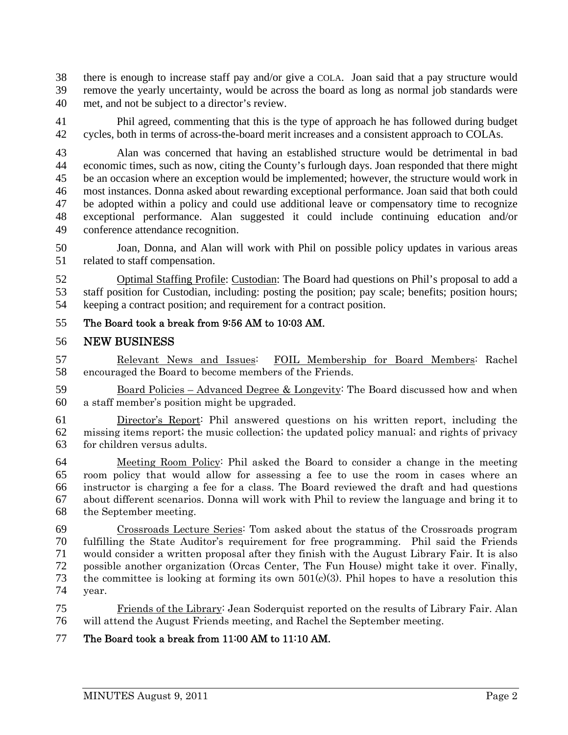38 there is enough to increase staff pay and/or give a COLA. Joan said that a pay structure would 39 remove the yearly uncertainty, would be across the board as long as normal job standards were 40 met, and not be subject to a director's review.

41 Phil agreed, commenting that this is the type of approach he has followed during budget 42 cycles, both in terms of across-the-board merit increases and a consistent approach to COLAs.

43 Alan was concerned that having an established structure would be detrimental in bad 44 economic times, such as now, citing the County's furlough days. Joan responded that there might 45 be an occasion where an exception would be implemented; however, the structure would work in 46 most instances. Donna asked about rewarding exceptional performance. Joan said that both could 47 be adopted within a policy and could use additional leave or compensatory time to recognize 48 exceptional performance. Alan suggested it could include continuing education and/or 49 conference attendance recognition.

50 Joan, Donna, and Alan will work with Phil on possible policy updates in various areas 51 related to staff compensation.

52 Optimal Staffing Profile: Custodian: The Board had questions on Phil's proposal to add a 53 staff position for Custodian, including: posting the position; pay scale; benefits; position hours; 54 keeping a contract position; and requirement for a contract position.

# 55 The Board took a break from 9:56 AM to 10:03 AM.

### 56 NEW BUSINESS

57 Relevant News and Issues: FOIL Membership for Board Members: Rachel 58 encouraged the Board to become members of the Friends.

59 Board Policies – Advanced Degree & Longevity: The Board discussed how and when 60 a staff member's position might be upgraded.

61 Director's Report: Phil answered questions on his written report, including the 62 missing items report; the music collection; the updated policy manual; and rights of privacy 63 for children versus adults.

Meeting Room Policy: Phil asked the Board to consider a change in the meeting room policy that would allow for assessing a fee to use the room in cases where an instructor is charging a fee for a class. The Board reviewed the draft and had questions about different scenarios. Donna will work with Phil to review the language and bring it to the September meeting.

Crossroads Lecture Series: Tom asked about the status of the Crossroads program fulfilling the State Auditor's requirement for free programming. Phil said the Friends would consider a written proposal after they finish with the August Library Fair. It is also possible another organization (Orcas Center, The Fun House) might take it over. Finally, 73 the committee is looking at forming its own  $501(c)(3)$ . Phil hopes to have a resolution this 74 year.

75 Friends of the Library: Jean Soderquist reported on the results of Library Fair. Alan 76 will attend the August Friends meeting, and Rachel the September meeting.

### 77 The Board took a break from 11:00 AM to 11:10 AM.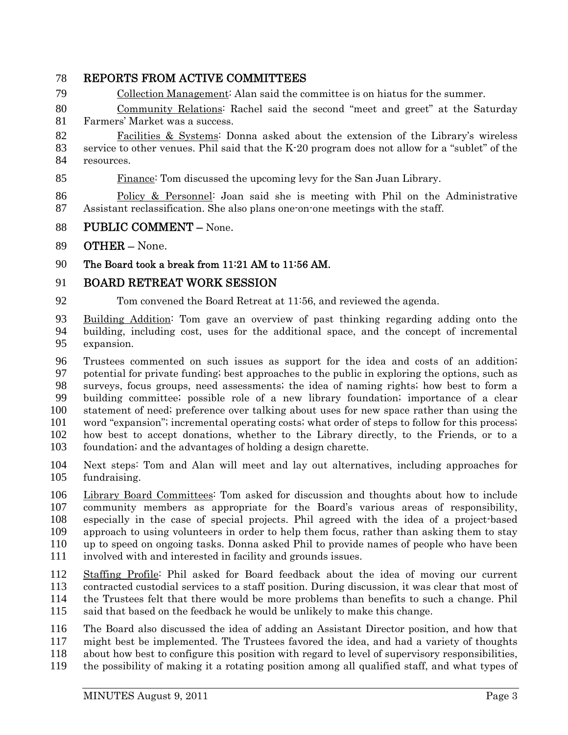# REPORTS FROM ACTIVE COMMITTEES

Collection Management: Alan said the committee is on hiatus for the summer.

Community Relations: Rachel said the second "meet and greet" at the Saturday Farmers' Market was a success.

Facilities & Systems: Donna asked about the extension of the Library's wireless service to other venues. Phil said that the K-20 program does not allow for a "sublet" of the resources.

Finance: Tom discussed the upcoming levy for the San Juan Library.

Policy & Personnel: Joan said she is meeting with Phil on the Administrative Assistant reclassification. She also plans one-on-one meetings with the staff.

- PUBLIC COMMENT None.
- OTHER None.

The Board took a break from 11:21 AM to 11:56 AM.

# BOARD RETREAT WORK SESSION

Tom convened the Board Retreat at 11:56, and reviewed the agenda.

Building Addition: Tom gave an overview of past thinking regarding adding onto the building, including cost, uses for the additional space, and the concept of incremental expansion.

Trustees commented on such issues as support for the idea and costs of an addition; potential for private funding; best approaches to the public in exploring the options, such as surveys, focus groups, need assessments; the idea of naming rights; how best to form a building committee; possible role of a new library foundation; importance of a clear statement of need; preference over talking about uses for new space rather than using the word "expansion"; incremental operating costs; what order of steps to follow for this process; how best to accept donations, whether to the Library directly, to the Friends, or to a foundation; and the advantages of holding a design charette.

Next steps: Tom and Alan will meet and lay out alternatives, including approaches for fundraising.

Library Board Committees: Tom asked for discussion and thoughts about how to include community members as appropriate for the Board's various areas of responsibility, especially in the case of special projects. Phil agreed with the idea of a project-based approach to using volunteers in order to help them focus, rather than asking them to stay up to speed on ongoing tasks. Donna asked Phil to provide names of people who have been involved with and interested in facility and grounds issues.

Staffing Profile: Phil asked for Board feedback about the idea of moving our current contracted custodial services to a staff position. During discussion, it was clear that most of the Trustees felt that there would be more problems than benefits to such a change. Phil said that based on the feedback he would be unlikely to make this change.

The Board also discussed the idea of adding an Assistant Director position, and how that might best be implemented. The Trustees favored the idea, and had a variety of thoughts about how best to configure this position with regard to level of supervisory responsibilities, the possibility of making it a rotating position among all qualified staff, and what types of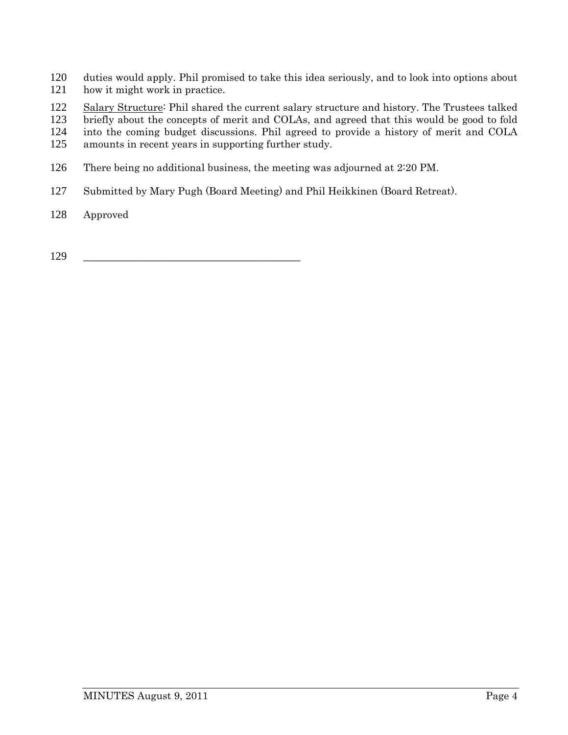- duties would apply. Phil promised to take this idea seriously, and to look into options about how it might work in practice.
- Salary Structure: Phil shared the current salary structure and history. The Trustees talked
- briefly about the concepts of merit and COLAs, and agreed that this would be good to fold
- into the coming budget discussions. Phil agreed to provide a history of merit and COLA
- amounts in recent years in supporting further study.
- There being no additional business, the meeting was adjourned at 2:20 PM.
- Submitted by Mary Pugh (Board Meeting) and Phil Heikkinen (Board Retreat).
- Approved

\_\_\_\_\_\_\_\_\_\_\_\_\_\_\_\_\_\_\_\_\_\_\_\_\_\_\_\_\_\_\_\_\_\_\_\_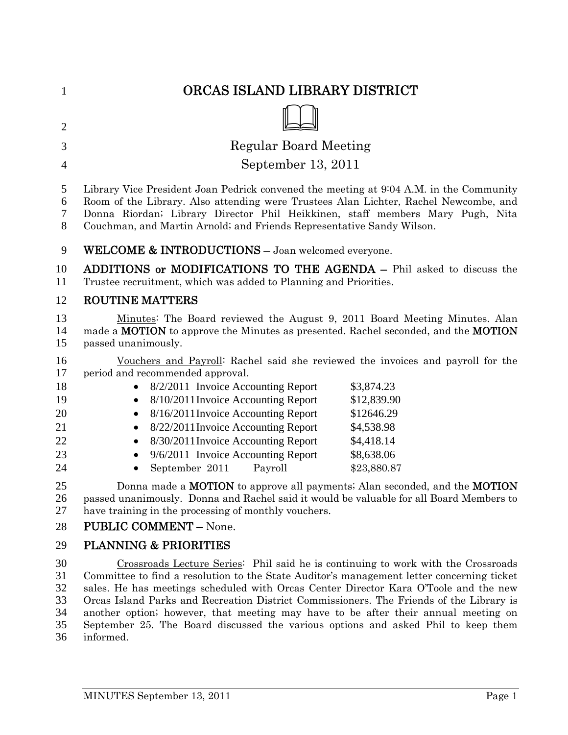| $\mathbf{1}$                                       | ORCAS ISLAND LIBRARY DISTRICT                                                                                                                                                                                                                                                                                                                                                                                                                                                                                                                             |
|----------------------------------------------------|-----------------------------------------------------------------------------------------------------------------------------------------------------------------------------------------------------------------------------------------------------------------------------------------------------------------------------------------------------------------------------------------------------------------------------------------------------------------------------------------------------------------------------------------------------------|
| $\overline{2}$                                     |                                                                                                                                                                                                                                                                                                                                                                                                                                                                                                                                                           |
| 3                                                  | <b>Regular Board Meeting</b>                                                                                                                                                                                                                                                                                                                                                                                                                                                                                                                              |
| $\overline{4}$                                     | September 13, 2011                                                                                                                                                                                                                                                                                                                                                                                                                                                                                                                                        |
|                                                    |                                                                                                                                                                                                                                                                                                                                                                                                                                                                                                                                                           |
| 5<br>6<br>7<br>8                                   | Library Vice President Joan Pedrick convened the meeting at 9.04 A.M. in the Community<br>Room of the Library. Also attending were Trustees Alan Lichter, Rachel Newcombe, and<br>Donna Riordan; Library Director Phil Heikkinen, staff members Mary Pugh, Nita<br>Couchman, and Martin Arnold; and Friends Representative Sandy Wilson.                                                                                                                                                                                                                  |
| 9                                                  | WELCOME & INTRODUCTIONS - Joan welcomed everyone.                                                                                                                                                                                                                                                                                                                                                                                                                                                                                                         |
| 10<br>11                                           | ADDITIONS or MODIFICATIONS TO THE AGENDA - Phil asked to discuss the<br>Trustee recruitment, which was added to Planning and Priorities.                                                                                                                                                                                                                                                                                                                                                                                                                  |
| 12                                                 | <b>ROUTINE MATTERS</b>                                                                                                                                                                                                                                                                                                                                                                                                                                                                                                                                    |
| 13<br>14<br>15                                     | Minutes: The Board reviewed the August 9, 2011 Board Meeting Minutes. Alan<br>made a <b>MOTION</b> to approve the Minutes as presented. Rachel seconded, and the <b>MOTION</b><br>passed unanimously.                                                                                                                                                                                                                                                                                                                                                     |
| 16<br>17<br>18<br>19<br>20<br>21<br>22<br>23<br>24 | Vouchers and Payroll: Rachel said she reviewed the invoices and payroll for the<br>period and recommended approval.<br>8/2/2011 Invoice Accounting Report<br>\$3,874.23<br>8/10/2011 Invoice Accounting Report<br>\$12,839.90<br>٠<br>8/16/2011 Invoice Accounting Report<br>\$12646.29<br>8/22/2011 Invoice Accounting Report<br>\$4,538.98<br>$\bullet$<br>8/30/2011 Invoice Accounting Report<br>\$4,418.14<br>9/6/2011 Invoice Accounting Report<br>\$8,638.06<br>September 2011<br>\$23,880.87<br>Payroll                                            |
| 25<br>26<br>27<br>28                               | Donna made a <b>MOTION</b> to approve all payments; Alan seconded, and the <b>MOTION</b><br>passed unanimously. Donna and Rachel said it would be valuable for all Board Members to<br>have training in the processing of monthly vouchers.<br><b>PUBLIC COMMENT - None.</b>                                                                                                                                                                                                                                                                              |
| 29                                                 | <b>PLANNING &amp; PRIORITIES</b>                                                                                                                                                                                                                                                                                                                                                                                                                                                                                                                          |
| 30<br>31<br>32<br>33<br>34<br>35<br>36             | Crossroads Lecture Series: Phil said he is continuing to work with the Crossroads<br>Committee to find a resolution to the State Auditor's management letter concerning ticket<br>sales. He has meetings scheduled with Orcas Center Director Kara O'Toole and the new<br>Orcas Island Parks and Recreation District Commissioners. The Friends of the Library is<br>another option; however, that meeting may have to be after their annual meeting on<br>September 25. The Board discussed the various options and asked Phil to keep them<br>informed. |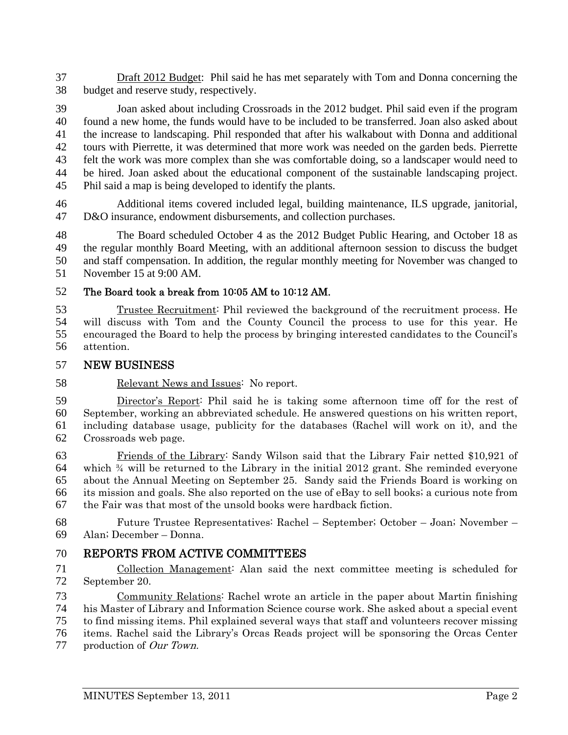37 Draft 2012 Budget: Phil said he has met separately with Tom and Donna concerning the 38 budget and reserve study, respectively.

39 Joan asked about including Crossroads in the 2012 budget. Phil said even if the program 40 found a new home, the funds would have to be included to be transferred. Joan also asked about 41 the increase to landscaping. Phil responded that after his walkabout with Donna and additional 42 tours with Pierrette, it was determined that more work was needed on the garden beds. Pierrette 43 felt the work was more complex than she was comfortable doing, so a landscaper would need to 44 be hired. Joan asked about the educational component of the sustainable landscaping project. 45 Phil said a map is being developed to identify the plants.

46 Additional items covered included legal, building maintenance, ILS upgrade, janitorial, 47 D&O insurance, endowment disbursements, and collection purchases.

48 The Board scheduled October 4 as the 2012 Budget Public Hearing, and October 18 as 49 the regular monthly Board Meeting, with an additional afternoon session to discuss the budget 50 and staff compensation. In addition, the regular monthly meeting for November was changed to 51 November 15 at 9:00 AM.

52 The Board took a break from 10:05 AM to 10:12 AM.

Trustee Recruitment: Phil reviewed the background of the recruitment process. He will discuss with Tom and the County Council the process to use for this year. He encouraged the Board to help the process by bringing interested candidates to the Council's attention.

### 57 NEW BUSINESS

58 Relevant News and Issues: No report.

Director's Report: Phil said he is taking some afternoon time off for the rest of September, working an abbreviated schedule. He answered questions on his written report, including database usage, publicity for the databases (Rachel will work on it), and the Crossroads web page.

Friends of the Library: Sandy Wilson said that the Library Fair netted \$10,921 of 64 which  $\frac{3}{4}$  will be returned to the Library in the initial 2012 grant. She reminded everyone about the Annual Meeting on September 25. Sandy said the Friends Board is working on its mission and goals. She also reported on the use of eBay to sell books; a curious note from the Fair was that most of the unsold books were hardback fiction.

68 Future Trustee Representatives: Rachel – September; October – Joan; November – 69 Alan; December – Donna.

# 70 REPORTS FROM ACTIVE COMMITTEES

71 Collection Management: Alan said the next committee meeting is scheduled for 72 September 20.

Community Relations: Rachel wrote an article in the paper about Martin finishing his Master of Library and Information Science course work. She asked about a special event to find missing items. Phil explained several ways that staff and volunteers recover missing items. Rachel said the Library's Orcas Reads project will be sponsoring the Orcas Center 77 production of *Our Town*.

MINUTES September 13, 2011 **Page 2**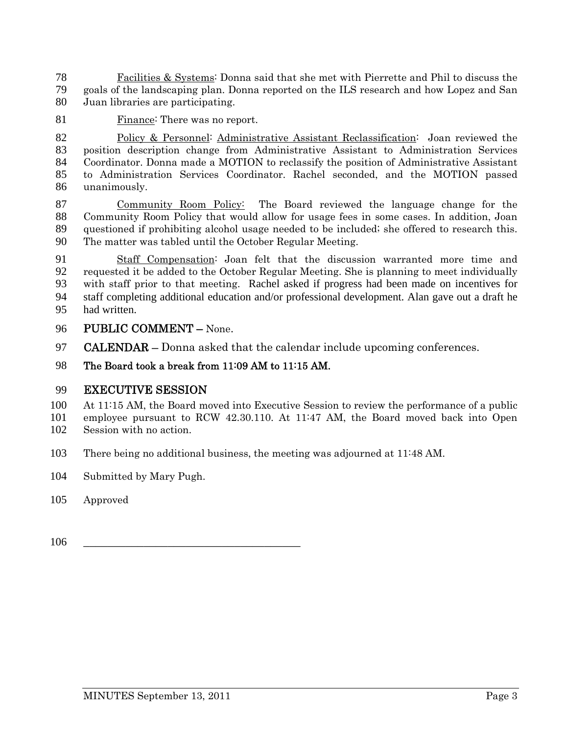Facilities & Systems: Donna said that she met with Pierrette and Phil to discuss the goals of the landscaping plan. Donna reported on the ILS research and how Lopez and San Juan libraries are participating.

Finance: There was no report.

Policy & Personnel: Administrative Assistant Reclassification: Joan reviewed the position description change from Administrative Assistant to Administration Services Coordinator. Donna made a MOTION to reclassify the position of Administrative Assistant to Administration Services Coordinator. Rachel seconded, and the MOTION passed unanimously.

Community Room Policy: The Board reviewed the language change for the Community Room Policy that would allow for usage fees in some cases. In addition, Joan questioned if prohibiting alcohol usage needed to be included; she offered to research this. The matter was tabled until the October Regular Meeting.

Staff Compensation: Joan felt that the discussion warranted more time and requested it be added to the October Regular Meeting. She is planning to meet individually with staff prior to that meeting. Rachel asked if progress had been made on incentives for 94 staff completing additional education and/or professional development. Alan gave out a draft he 95 had written.

- PUBLIC COMMENT None.
- **CALENDAR** Donna asked that the calendar include upcoming conferences.

## The Board took a break from 11:09 AM to 11:15 AM.

# EXECUTIVE SESSION

At 11:15 AM, the Board moved into Executive Session to review the performance of a public employee pursuant to RCW 42.30.110. At 11:47 AM, the Board moved back into Open Session with no action.

- There being no additional business, the meeting was adjourned at 11:48 AM.
- Submitted by Mary Pugh.
- Approved

\_\_\_\_\_\_\_\_\_\_\_\_\_\_\_\_\_\_\_\_\_\_\_\_\_\_\_\_\_\_\_\_\_\_\_\_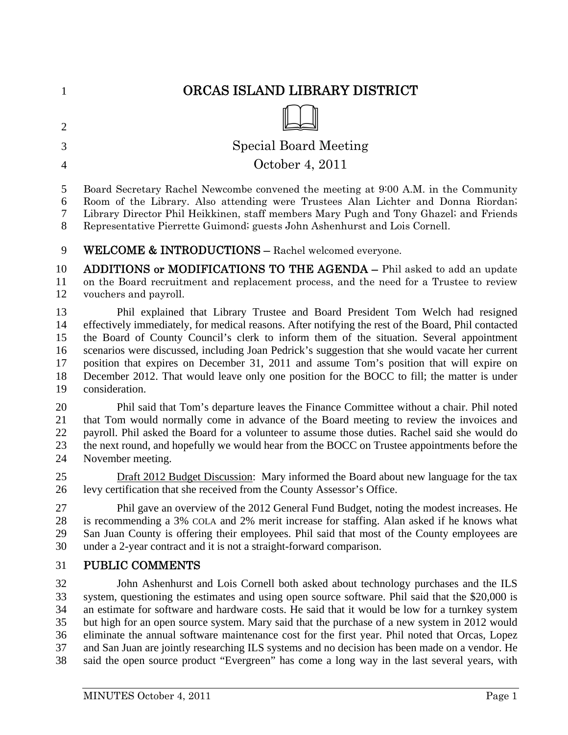| $\mathbf{1}$   | ORCAS ISLAND LIBRARY DISTRICT                                                                       |
|----------------|-----------------------------------------------------------------------------------------------------|
| $\overline{2}$ |                                                                                                     |
| 3              | <b>Special Board Meeting</b>                                                                        |
| $\overline{4}$ | October 4, 2011                                                                                     |
| 5              | Board Secretary Rachel Newcombe convened the meeting at 9:00 A.M. in the Community                  |
| 6              | Room of the Library. Also attending were Trustees Alan Lichter and Donna Riordan;                   |
| 7              | Library Director Phil Heikkinen, staff members Mary Pugh and Tony Ghazel; and Friends               |
| 8              | Representative Pierrette Guimond; guests John Ashenhurst and Lois Cornell.                          |
| 9              | WELCOME & INTRODUCTIONS - Rachel welcomed everyone.                                                 |
| 10             | <b>ADDITIONS or MODIFICATIONS TO THE AGENDA –</b> Phil asked to add an update                       |
| 11             | on the Board recruitment and replacement process, and the need for a Trustee to review              |
| 12             | vouchers and payroll.                                                                               |
| 13             | Phil explained that Library Trustee and Board President Tom Welch had resigned                      |
| 14             | effectively immediately, for medical reasons. After notifying the rest of the Board, Phil contacted |
| 15             | the Board of County Council's clerk to inform them of the situation. Several appointment            |
| 16             | scenarios were discussed, including Joan Pedrick's suggestion that she would vacate her current     |
| 17             | position that expires on December 31, 2011 and assume Tom's position that will expire on            |
| 18             | December 2012. That would leave only one position for the BOCC to fill; the matter is under         |
| 19             | consideration.                                                                                      |
| 20             | Phil said that Tom's departure leaves the Finance Committee without a chair. Phil noted             |
| 21             | that Tom would normally come in advance of the Board meeting to review the invoices and             |
| 22             | payroll. Phil asked the Board for a volunteer to assume those duties. Rachel said she would do      |
| 23             | the next round, and hopefully we would hear from the BOCC on Trustee appointments before the        |
| 24             | November meeting.                                                                                   |
| 25             | Draft 2012 Budget Discussion: Mary informed the Board about new language for the tax                |
| 26             | levy certification that she received from the County Assessor's Office.                             |
| 27             | Phil gave an overview of the 2012 General Fund Budget, noting the modest increases. He              |
| 28             | is recommending a 3% COLA and 2% merit increase for staffing. Alan asked if he knows what           |
| 29             | San Juan County is offering their employees. Phil said that most of the County employees are        |
| 30             | under a 2-year contract and it is not a straight-forward comparison.                                |
| 31             | PUBLIC COMMENTS                                                                                     |
| 32             | John Ashenhurst and Lois Cornell both asked about technology purchases and the ILS                  |
| 33             | system, questioning the estimates and using open source software. Phil said that the \$20,000 is    |
| 34             | an estimate for software and hardware costs. He said that it would be low for a turnkey system      |
| 35             | but high for an open source system. Mary said that the purchase of a new system in 2012 would       |
| 36             | eliminate the annual software maintenance cost for the first year. Phil noted that Orcas, Lopez     |
| 37             | and San Juan are jointly researching ILS systems and no decision has been made on a vendor. He      |
| 38             | said the open source product "Evergreen" has come a long way in the last several years, with        |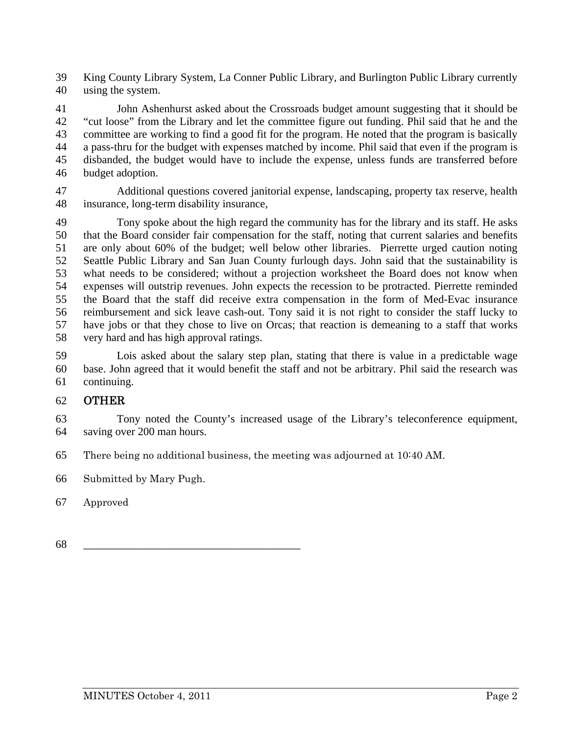39 King County Library System, La Conner Public Library, and Burlington Public Library currently 40 using the system.

41 John Ashenhurst asked about the Crossroads budget amount suggesting that it should be 42 "cut loose" from the Library and let the committee figure out funding. Phil said that he and the 43 committee are working to find a good fit for the program. He noted that the program is basically 44 a pass-thru for the budget with expenses matched by income. Phil said that even if the program is 45 disbanded, the budget would have to include the expense, unless funds are transferred before 46 budget adoption.

47 Additional questions covered janitorial expense, landscaping, property tax reserve, health 48 insurance, long-term disability insurance,

49 Tony spoke about the high regard the community has for the library and its staff. He asks 50 that the Board consider fair compensation for the staff, noting that current salaries and benefits 51 are only about 60% of the budget; well below other libraries. Pierrette urged caution noting 52 Seattle Public Library and San Juan County furlough days. John said that the sustainability is 53 what needs to be considered; without a projection worksheet the Board does not know when 54 expenses will outstrip revenues. John expects the recession to be protracted. Pierrette reminded 55 the Board that the staff did receive extra compensation in the form of Med-Evac insurance 56 reimbursement and sick leave cash-out. Tony said it is not right to consider the staff lucky to 57 have jobs or that they chose to live on Orcas; that reaction is demeaning to a staff that works 58 very hard and has high approval ratings.

59 Lois asked about the salary step plan, stating that there is value in a predictable wage 60 base. John agreed that it would benefit the staff and not be arbitrary. Phil said the research was 61 continuing.

### 62 OTHER

63 Tony noted the County's increased usage of the Library's teleconference equipment, 64 saving over 200 man hours.

65 There being no additional business, the meeting was adjourned at 10:40 AM.

66 Submitted by Mary Pugh.

67 Approved

68 \_\_\_\_\_\_\_\_\_\_\_\_\_\_\_\_\_\_\_\_\_\_\_\_\_\_\_\_\_\_\_\_\_\_\_\_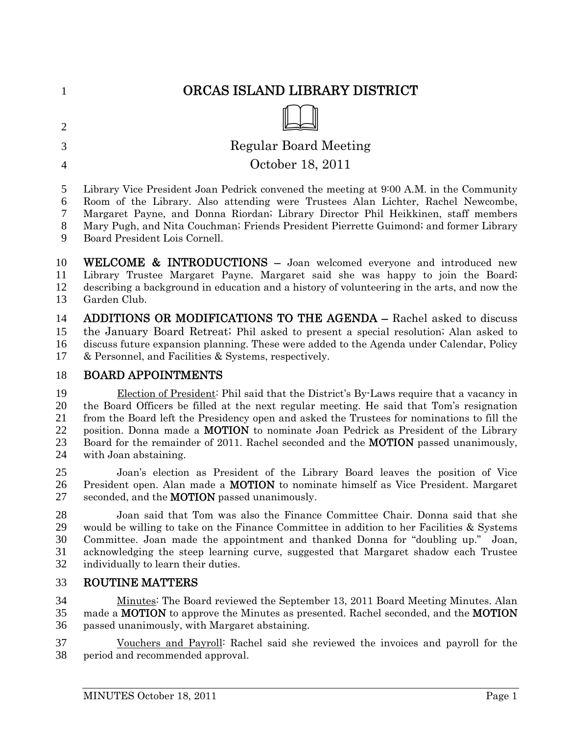|                | ORCAS ISLAND LIBRARY DISTRICT                                                          |
|----------------|----------------------------------------------------------------------------------------|
| $\overline{2}$ |                                                                                        |
| 3              | Regular Board Meeting                                                                  |
| $\overline{4}$ | October 18, 2011                                                                       |
| 5              | Library Vice President Joan Pedrick convened the meeting at 9:00 A.M. in the Community |
| 6              | Room of the Library. Also attending were Trustees Alan Lichter, Rachel Newcombe,       |
| 7              | Margaret Payne, and Donna Riordan; Library Director Phil Heikkinen, staff members      |
| 8              | Mary Pugh, and Nita Couchman; Friends President Pierrette Guimond; and former Library  |
| 9              | Board President Lois Cornell.                                                          |

WELCOME & INTRODUCTIONS – Joan welcomed everyone and introduced new Library Trustee Margaret Payne. Margaret said she was happy to join the Board; describing a background in education and a history of volunteering in the arts, and now the Garden Club.

ADDITIONS OR MODIFICATIONS TO THE AGENDA – Rachel asked to discuss the January Board Retreat; Phil asked to present a special resolution; Alan asked to discuss future expansion planning. These were added to the Agenda under Calendar, Policy & Personnel, and Facilities & Systems, respectively.

### BOARD APPOINTMENTS

Election of President: Phil said that the District's By-Laws require that a vacancy in the Board Officers be filled at the next regular meeting. He said that Tom's resignation from the Board left the Presidency open and asked the Trustees for nominations to fill the position. Donna made a MOTION to nominate Joan Pedrick as President of the Library 23 Board for the remainder of 2011. Rachel seconded and the **MOTION** passed unanimously, with Joan abstaining.

Joan's election as President of the Library Board leaves the position of Vice 26 President open. Alan made a **MOTION** to nominate himself as Vice President. Margaret 27 seconded, and the **MOTION** passed unanimously.

Joan said that Tom was also the Finance Committee Chair. Donna said that she would be willing to take on the Finance Committee in addition to her Facilities & Systems Committee. Joan made the appointment and thanked Donna for "doubling up." Joan, acknowledging the steep learning curve, suggested that Margaret shadow each Trustee individually to learn their duties.

### ROUTINE MATTERS

Minutes: The Board reviewed the September 13, 2011 Board Meeting Minutes. Alan 35 made a **MOTION** to approve the Minutes as presented. Rachel seconded, and the **MOTION** passed unanimously, with Margaret abstaining.

Vouchers and Payroll: Rachel said she reviewed the invoices and payroll for the period and recommended approval.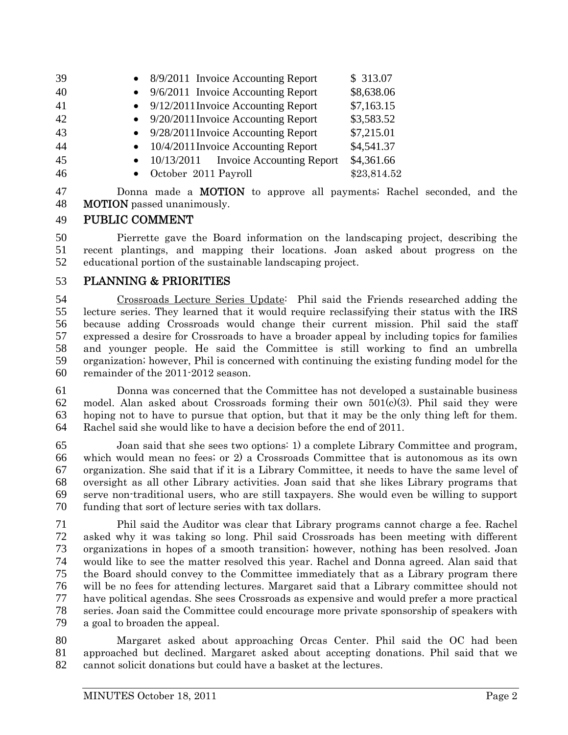| 39 | • $8/9/2011$ Invoice Accounting Report         | \$313.07    |
|----|------------------------------------------------|-------------|
| 40 | $\bullet$ 9/6/2011 Invoice Accounting Report   | \$8,638.06  |
| 41 | $\bullet$ 9/12/2011 Invoice Accounting Report  | \$7,163.15  |
| 42 | $\bullet$ 9/20/2011 Invoice Accounting Report  | \$3,583.52  |
| 43 | $\bullet$ 9/28/2011 Invoice Accounting Report  | \$7,215.01  |
| 44 | • 10/4/2011 Invoice Accounting Report          | \$4,541.37  |
| 45 | $\bullet$ 10/13/2011 Invoice Accounting Report | \$4,361.66  |
| 46 | • October 2011 Payroll                         | \$23,814.52 |
|    |                                                |             |

Donna made a MOTION to approve all payments; Rachel seconded, and the MOTION passed unanimously.

# PUBLIC COMMENT

Pierrette gave the Board information on the landscaping project, describing the recent plantings, and mapping their locations. Joan asked about progress on the educational portion of the sustainable landscaping project.

# PLANNING & PRIORITIES

Crossroads Lecture Series Update: Phil said the Friends researched adding the lecture series. They learned that it would require reclassifying their status with the IRS because adding Crossroads would change their current mission. Phil said the staff expressed a desire for Crossroads to have a broader appeal by including topics for families and younger people. He said the Committee is still working to find an umbrella organization; however, Phil is concerned with continuing the existing funding model for the remainder of the 2011-2012 season.

Donna was concerned that the Committee has not developed a sustainable business model. Alan asked about Crossroads forming their own 501(c)(3). Phil said they were hoping not to have to pursue that option, but that it may be the only thing left for them. Rachel said she would like to have a decision before the end of 2011.

Joan said that she sees two options: 1) a complete Library Committee and program, which would mean no fees; or 2) a Crossroads Committee that is autonomous as its own organization. She said that if it is a Library Committee, it needs to have the same level of oversight as all other Library activities. Joan said that she likes Library programs that serve non-traditional users, who are still taxpayers. She would even be willing to support funding that sort of lecture series with tax dollars.

Phil said the Auditor was clear that Library programs cannot charge a fee. Rachel asked why it was taking so long. Phil said Crossroads has been meeting with different organizations in hopes of a smooth transition; however, nothing has been resolved. Joan would like to see the matter resolved this year. Rachel and Donna agreed. Alan said that the Board should convey to the Committee immediately that as a Library program there will be no fees for attending lectures. Margaret said that a Library committee should not have political agendas. She sees Crossroads as expensive and would prefer a more practical series. Joan said the Committee could encourage more private sponsorship of speakers with a goal to broaden the appeal.

Margaret asked about approaching Orcas Center. Phil said the OC had been approached but declined. Margaret asked about accepting donations. Phil said that we cannot solicit donations but could have a basket at the lectures.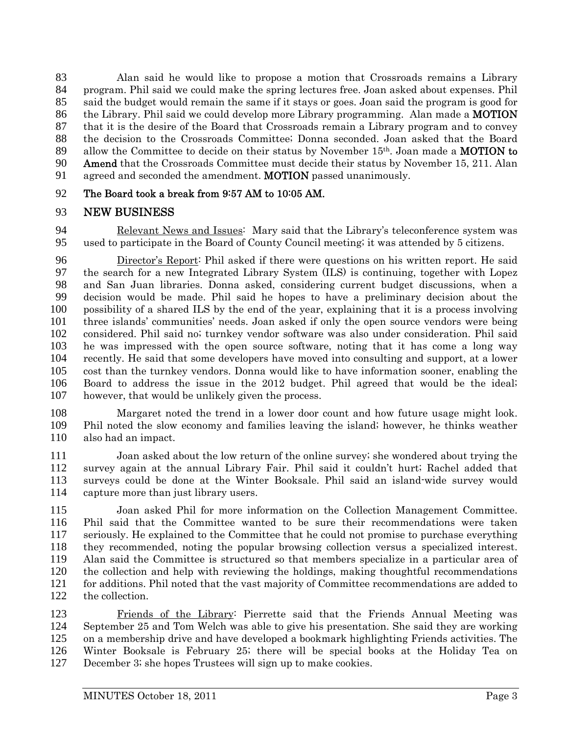Alan said he would like to propose a motion that Crossroads remains a Library program. Phil said we could make the spring lectures free. Joan asked about expenses. Phil said the budget would remain the same if it stays or goes. Joan said the program is good for the Library. Phil said we could develop more Library programming. Alan made a MOTION that it is the desire of the Board that Crossroads remain a Library program and to convey the decision to the Crossroads Committee; Donna seconded. Joan asked that the Board 89 allow the Committee to decide on their status by November  $15<sup>th</sup>$ . Joan made a **MOTION to** Amend that the Crossroads Committee must decide their status by November 15, 211. Alan 91 agreed and seconded the amendment. **MOTION** passed unanimously.

#### The Board took a break from 9:57 AM to 10:05 AM.

#### NEW BUSINESS

Relevant News and Issues: Mary said that the Library's teleconference system was used to participate in the Board of County Council meeting; it was attended by 5 citizens.

Director's Report: Phil asked if there were questions on his written report. He said the search for a new Integrated Library System (ILS) is continuing, together with Lopez and San Juan libraries. Donna asked, considering current budget discussions, when a decision would be made. Phil said he hopes to have a preliminary decision about the possibility of a shared ILS by the end of the year, explaining that it is a process involving three islands' communities' needs. Joan asked if only the open source vendors were being considered. Phil said no; turnkey vendor software was also under consideration. Phil said he was impressed with the open source software, noting that it has come a long way recently. He said that some developers have moved into consulting and support, at a lower cost than the turnkey vendors. Donna would like to have information sooner, enabling the Board to address the issue in the 2012 budget. Phil agreed that would be the ideal; however, that would be unlikely given the process.

Margaret noted the trend in a lower door count and how future usage might look. Phil noted the slow economy and families leaving the island; however, he thinks weather also had an impact.

Joan asked about the low return of the online survey; she wondered about trying the survey again at the annual Library Fair. Phil said it couldn't hurt; Rachel added that surveys could be done at the Winter Booksale. Phil said an island-wide survey would capture more than just library users.

Joan asked Phil for more information on the Collection Management Committee. Phil said that the Committee wanted to be sure their recommendations were taken seriously. He explained to the Committee that he could not promise to purchase everything they recommended, noting the popular browsing collection versus a specialized interest. Alan said the Committee is structured so that members specialize in a particular area of the collection and help with reviewing the holdings, making thoughtful recommendations for additions. Phil noted that the vast majority of Committee recommendations are added to the collection.

Friends of the Library: Pierrette said that the Friends Annual Meeting was September 25 and Tom Welch was able to give his presentation. She said they are working on a membership drive and have developed a bookmark highlighting Friends activities. The Winter Booksale is February 25; there will be special books at the Holiday Tea on December 3; she hopes Trustees will sign up to make cookies.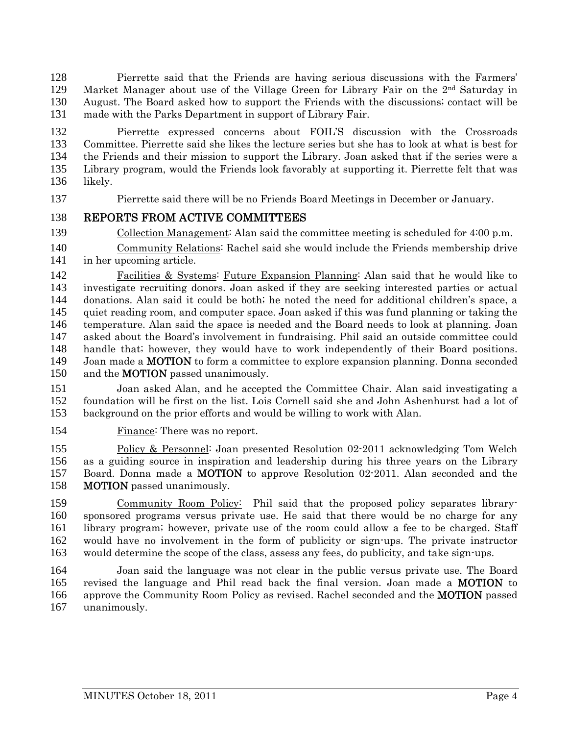Pierrette said that the Friends are having serious discussions with the Farmers' 129 Market Manager about use of the Village Green for Library Fair on the  $2<sup>nd</sup>$  Saturday in August. The Board asked how to support the Friends with the discussions; contact will be made with the Parks Department in support of Library Fair.

Pierrette expressed concerns about FOIL'S discussion with the Crossroads Committee. Pierrette said she likes the lecture series but she has to look at what is best for the Friends and their mission to support the Library. Joan asked that if the series were a Library program, would the Friends look favorably at supporting it. Pierrette felt that was likely.

Pierrette said there will be no Friends Board Meetings in December or January.

### REPORTS FROM ACTIVE COMMITTEES

Collection Management: Alan said the committee meeting is scheduled for 4:00 p.m.

Community Relations: Rachel said she would include the Friends membership drive in her upcoming article.

Facilities & Systems: Future Expansion Planning: Alan said that he would like to investigate recruiting donors. Joan asked if they are seeking interested parties or actual donations. Alan said it could be both; he noted the need for additional children's space, a quiet reading room, and computer space. Joan asked if this was fund planning or taking the temperature. Alan said the space is needed and the Board needs to look at planning. Joan asked about the Board's involvement in fundraising. Phil said an outside committee could handle that; however, they would have to work independently of their Board positions. Joan made a MOTION to form a committee to explore expansion planning. Donna seconded 150 and the **MOTION** passed unanimously.

Joan asked Alan, and he accepted the Committee Chair. Alan said investigating a foundation will be first on the list. Lois Cornell said she and John Ashenhurst had a lot of background on the prior efforts and would be willing to work with Alan.

154 Finance: There was no report.

Policy & Personnel: Joan presented Resolution 02-2011 acknowledging Tom Welch as a guiding source in inspiration and leadership during his three years on the Library Board. Donna made a MOTION to approve Resolution 02-2011. Alan seconded and the MOTION passed unanimously.

Community Room Policy: Phil said that the proposed policy separates library-sponsored programs versus private use. He said that there would be no charge for any library program; however, private use of the room could allow a fee to be charged. Staff would have no involvement in the form of publicity or sign-ups. The private instructor would determine the scope of the class, assess any fees, do publicity, and take sign-ups.

Joan said the language was not clear in the public versus private use. The Board 165 revised the language and Phil read back the final version. Joan made a MOTION to 166 approve the Community Room Policy as revised. Rachel seconded and the **MOTION** passed unanimously.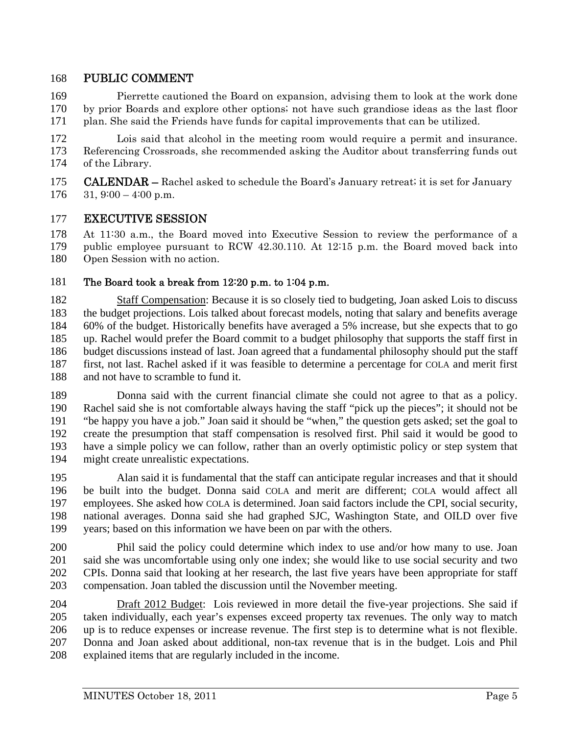# 168 PUBLIC COMMENT

169 Pierrette cautioned the Board on expansion, advising them to look at the work done 170 by prior Boards and explore other options; not have such grandiose ideas as the last floor 171 plan. She said the Friends have funds for capital improvements that can be utilized.

172 Lois said that alcohol in the meeting room would require a permit and insurance. 173 Referencing Crossroads, she recommended asking the Auditor about transferring funds out 174 of the Library.

175 **CALENDAR** – Rachel asked to schedule the Board's January retreat; it is set for January

 $176$  31,  $9:00 - 4:00$  p.m.

### 177 EXECUTIVE SESSION

178 At 11:30 a.m., the Board moved into Executive Session to review the performance of a 179 public employee pursuant to RCW 42.30.110. At 12:15 p.m. the Board moved back into 180 Open Session with no action.

#### 181 The Board took a break from 12:20 p.m. to 1:04 p.m.

182 Staff Compensation: Because it is so closely tied to budgeting, Joan asked Lois to discuss 183 the budget projections. Lois talked about forecast models, noting that salary and benefits average 184 60% of the budget. Historically benefits have averaged a 5% increase, but she expects that to go 185 up. Rachel would prefer the Board commit to a budget philosophy that supports the staff first in 186 budget discussions instead of last. Joan agreed that a fundamental philosophy should put the staff 187 first, not last. Rachel asked if it was feasible to determine a percentage for COLA and merit first 188 and not have to scramble to fund it.

189 Donna said with the current financial climate she could not agree to that as a policy. 190 Rachel said she is not comfortable always having the staff "pick up the pieces"; it should not be 191 "be happy you have a job." Joan said it should be "when," the question gets asked; set the goal to 192 create the presumption that staff compensation is resolved first. Phil said it would be good to 193 have a simple policy we can follow, rather than an overly optimistic policy or step system that 194 might create unrealistic expectations.

195 Alan said it is fundamental that the staff can anticipate regular increases and that it should 196 be built into the budget. Donna said COLA and merit are different; COLA would affect all 197 employees. She asked how COLA is determined. Joan said factors include the CPI, social security, 198 national averages. Donna said she had graphed SJC, Washington State, and OILD over five 199 years; based on this information we have been on par with the others.

200 Phil said the policy could determine which index to use and/or how many to use. Joan 201 said she was uncomfortable using only one index; she would like to use social security and two 202 CPIs. Donna said that looking at her research, the last five years have been appropriate for staff 203 compensation. Joan tabled the discussion until the November meeting.

204 Draft 2012 Budget: Lois reviewed in more detail the five-year projections. She said if 205 taken individually, each year's expenses exceed property tax revenues. The only way to match 206 up is to reduce expenses or increase revenue. The first step is to determine what is not flexible. 207 Donna and Joan asked about additional, non-tax revenue that is in the budget. Lois and Phil 208 explained items that are regularly included in the income.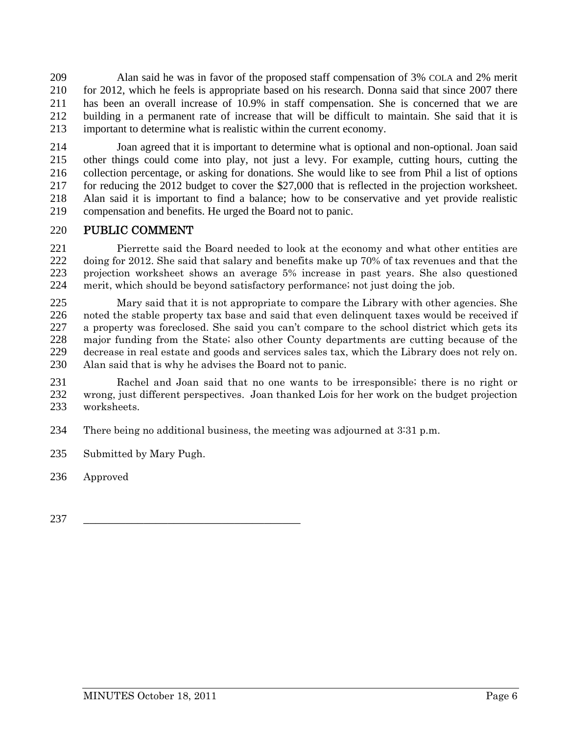209 Alan said he was in favor of the proposed staff compensation of 3% COLA and 2% merit 210 for 2012, which he feels is appropriate based on his research. Donna said that since 2007 there 211 has been an overall increase of 10.9% in staff compensation. She is concerned that we are 212 building in a permanent rate of increase that will be difficult to maintain. She said that it is 213 important to determine what is realistic within the current economy.

214 Joan agreed that it is important to determine what is optional and non-optional. Joan said 215 other things could come into play, not just a levy. For example, cutting hours, cutting the 216 collection percentage, or asking for donations. She would like to see from Phil a list of options 217 for reducing the 2012 budget to cover the \$27,000 that is reflected in the projection worksheet. 218 Alan said it is important to find a balance; how to be conservative and yet provide realistic 219 compensation and benefits. He urged the Board not to panic.

### 220 PUBLIC COMMENT

Pierrette said the Board needed to look at the economy and what other entities are doing for 2012. She said that salary and benefits make up 70% of tax revenues and that the projection worksheet shows an average 5% increase in past years. She also questioned merit, which should be beyond satisfactory performance; not just doing the job.

Mary said that it is not appropriate to compare the Library with other agencies. She noted the stable property tax base and said that even delinquent taxes would be received if a property was foreclosed. She said you can't compare to the school district which gets its major funding from the State; also other County departments are cutting because of the decrease in real estate and goods and services sales tax, which the Library does not rely on. Alan said that is why he advises the Board not to panic.

231 Rachel and Joan said that no one wants to be irresponsible; there is no right or 232 wrong, just different perspectives. Joan thanked Lois for her work on the budget projection 233 worksheets.

234 There being no additional business, the meeting was adjourned at 3:31 p.m.

235 Submitted by Mary Pugh.

236 Approved

237 \_\_\_\_\_\_\_\_\_\_\_\_\_\_\_\_\_\_\_\_\_\_\_\_\_\_\_\_\_\_\_\_\_\_\_\_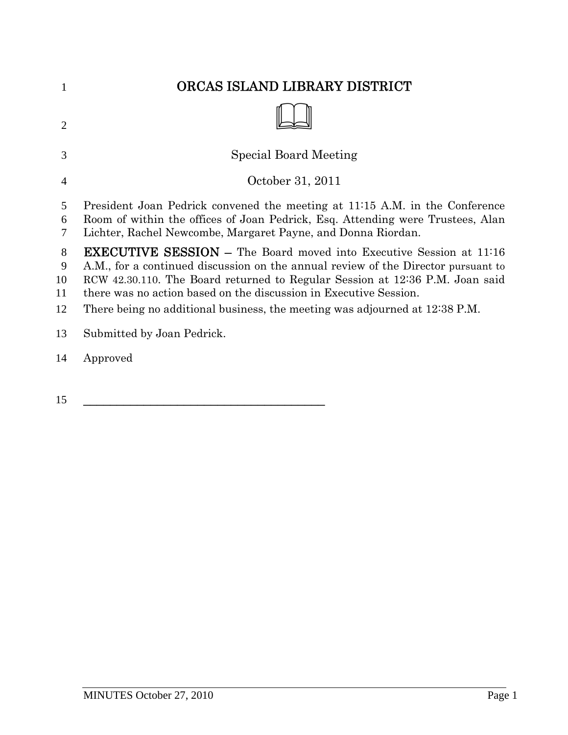| 1                        | ORCAS ISLAND LIBRARY DISTRICT                                                                                                                                                                                                                                                                                                                                                                       |
|--------------------------|-----------------------------------------------------------------------------------------------------------------------------------------------------------------------------------------------------------------------------------------------------------------------------------------------------------------------------------------------------------------------------------------------------|
| 2                        |                                                                                                                                                                                                                                                                                                                                                                                                     |
| 3                        | <b>Special Board Meeting</b>                                                                                                                                                                                                                                                                                                                                                                        |
| $\overline{4}$           | October 31, 2011                                                                                                                                                                                                                                                                                                                                                                                    |
| 5<br>6<br>7              | President Joan Pedrick convened the meeting at 11:15 A.M. in the Conference<br>Room of within the offices of Joan Pedrick, Esq. Attending were Trustees, Alan<br>Lichter, Rachel Newcombe, Margaret Payne, and Donna Riordan.                                                                                                                                                                       |
| 8<br>9<br>10<br>11<br>12 | <b>EXECUTIVE SESSION</b> – The Board moved into Executive Session at 11:16<br>A.M., for a continued discussion on the annual review of the Director pursuant to<br>RCW 42.30.110. The Board returned to Regular Session at 12:36 P.M. Joan said<br>there was no action based on the discussion in Executive Session.<br>There being no additional business, the meeting was adjourned at 12:38 P.M. |
| 13                       | Submitted by Joan Pedrick.                                                                                                                                                                                                                                                                                                                                                                          |
| 14                       | Approved                                                                                                                                                                                                                                                                                                                                                                                            |

\_\_\_\_\_\_\_\_\_\_\_\_\_\_\_\_\_\_\_\_\_\_\_\_\_\_\_\_\_\_\_\_\_\_\_\_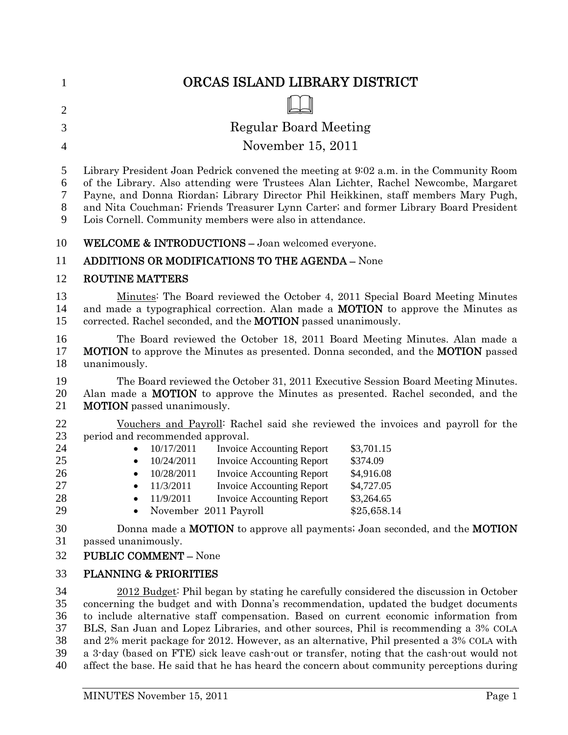| 1                                      | ORCAS ISLAND LIBRARY DISTRICT                                                                                                                                                                                                                                                                                                                                                                                                                                                                                                                         |
|----------------------------------------|-------------------------------------------------------------------------------------------------------------------------------------------------------------------------------------------------------------------------------------------------------------------------------------------------------------------------------------------------------------------------------------------------------------------------------------------------------------------------------------------------------------------------------------------------------|
| $\overline{2}$                         |                                                                                                                                                                                                                                                                                                                                                                                                                                                                                                                                                       |
| 3                                      | <b>Regular Board Meeting</b>                                                                                                                                                                                                                                                                                                                                                                                                                                                                                                                          |
| 4                                      | November 15, 2011                                                                                                                                                                                                                                                                                                                                                                                                                                                                                                                                     |
| 5<br>6<br>7<br>8<br>9                  | Library President Joan Pedrick convened the meeting at 9:02 a.m. in the Community Room<br>of the Library. Also attending were Trustees Alan Lichter, Rachel Newcombe, Margaret<br>Payne, and Donna Riordan; Library Director Phil Heikkinen, staff members Mary Pugh,<br>and Nita Couchman; Friends Treasurer Lynn Carter; and former Library Board President<br>Lois Cornell. Community members were also in attendance.                                                                                                                             |
| 10                                     | <b>WELCOME &amp; INTRODUCTIONS - Joan welcomed everyone.</b>                                                                                                                                                                                                                                                                                                                                                                                                                                                                                          |
| 11                                     | <b>ADDITIONS OR MODIFICATIONS TO THE AGENDA - None</b>                                                                                                                                                                                                                                                                                                                                                                                                                                                                                                |
| 12                                     | <b>ROUTINE MATTERS</b>                                                                                                                                                                                                                                                                                                                                                                                                                                                                                                                                |
| 13<br>14<br>15                         | Minutes: The Board reviewed the October 4, 2011 Special Board Meeting Minutes<br>and made a typographical correction. Alan made a <b>MOTION</b> to approve the Minutes as<br>corrected. Rachel seconded, and the <b>MOTION</b> passed unanimously.                                                                                                                                                                                                                                                                                                    |
| 16<br>17<br>18                         | The Board reviewed the October 18, 2011 Board Meeting Minutes. Alan made a<br>MOTION to approve the Minutes as presented. Donna seconded, and the MOTION passed<br>unanimously.                                                                                                                                                                                                                                                                                                                                                                       |
| 19<br>20<br>21                         | The Board reviewed the October 31, 2011 Executive Session Board Meeting Minutes.<br>Alan made a <b>MOTION</b> to approve the Minutes as presented. Rachel seconded, and the<br><b>MOTION</b> passed unanimously.                                                                                                                                                                                                                                                                                                                                      |
| 22<br>23<br>24<br>25<br>26<br>27<br>28 | Vouchers and Payroll: Rachel said she reviewed the invoices and payroll for the<br>period and recommended approval.<br>10/17/2011<br><b>Invoice Accounting Report</b><br>\$3,701.15<br><b>Invoice Accounting Report</b><br>10/24/2011<br>\$374.09<br><b>Invoice Accounting Report</b><br>10/28/2011<br>\$4,916.08<br>\$4,727.05<br>11/3/2011<br><b>Invoice Accounting Report</b><br><b>Invoice Accounting Report</b><br>11/9/2011<br>\$3,264.65                                                                                                       |
| 29<br>30<br>31<br>32                   | November 2011 Payroll<br>\$25,658.14<br>Donna made a <b>MOTION</b> to approve all payments; Joan seconded, and the <b>MOTION</b><br>passed unanimously.<br><b>PUBLIC COMMENT - None</b>                                                                                                                                                                                                                                                                                                                                                               |
| 33                                     | <b>PLANNING &amp; PRIORITIES</b>                                                                                                                                                                                                                                                                                                                                                                                                                                                                                                                      |
| 34<br>35<br>36<br>37<br>38<br>39       | 2012 Budget: Phil began by stating he carefully considered the discussion in October<br>concerning the budget and with Donna's recommendation, updated the budget documents<br>to include alternative staff compensation. Based on current economic information from<br>BLS, San Juan and Lopez Libraries, and other sources, Phil is recommending a 3% COLA<br>and 2% merit package for 2012. However, as an alternative, Phil presented a 3% COLA with<br>a 3-day (based on FTE) sick leave cash-out or transfer noting that the cash-out would not |

39 a 3-day (based on FTE) sick leave cash-out or transfer, noting that the cash-out would not 40 affect the base. He said that he has heard the concern about community perceptions during affect the base. He said that he has heard the concern about community perceptions during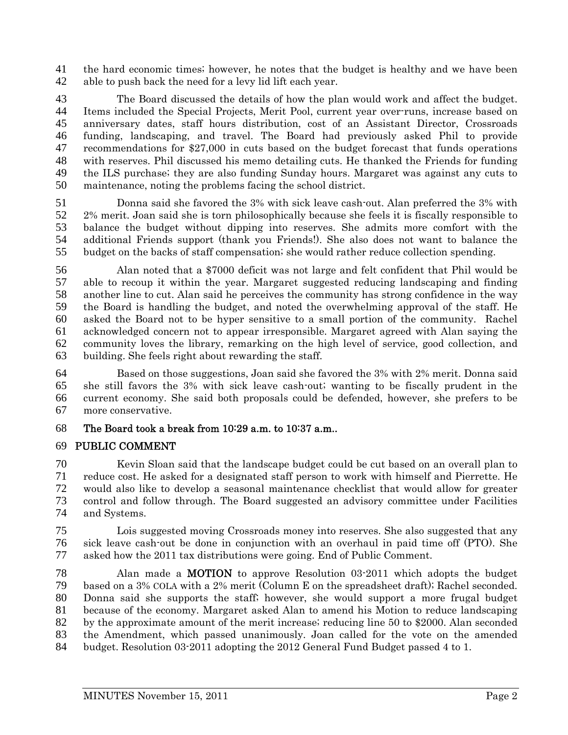the hard economic times; however, he notes that the budget is healthy and we have been able to push back the need for a levy lid lift each year.

The Board discussed the details of how the plan would work and affect the budget. Items included the Special Projects, Merit Pool, current year over-runs, increase based on anniversary dates, staff hours distribution, cost of an Assistant Director, Crossroads funding, landscaping, and travel. The Board had previously asked Phil to provide recommendations for \$27,000 in cuts based on the budget forecast that funds operations with reserves. Phil discussed his memo detailing cuts. He thanked the Friends for funding the ILS purchase; they are also funding Sunday hours. Margaret was against any cuts to maintenance, noting the problems facing the school district.

Donna said she favored the 3% with sick leave cash-out. Alan preferred the 3% with 2% merit. Joan said she is torn philosophically because she feels it is fiscally responsible to balance the budget without dipping into reserves. She admits more comfort with the additional Friends support (thank you Friends!). She also does not want to balance the budget on the backs of staff compensation; she would rather reduce collection spending.

Alan noted that a \$7000 deficit was not large and felt confident that Phil would be able to recoup it within the year. Margaret suggested reducing landscaping and finding another line to cut. Alan said he perceives the community has strong confidence in the way the Board is handling the budget, and noted the overwhelming approval of the staff. He asked the Board not to be hyper sensitive to a small portion of the community. Rachel acknowledged concern not to appear irresponsible. Margaret agreed with Alan saying the community loves the library, remarking on the high level of service, good collection, and building. She feels right about rewarding the staff.

Based on those suggestions, Joan said she favored the 3% with 2% merit. Donna said she still favors the 3% with sick leave cash-out; wanting to be fiscally prudent in the current economy. She said both proposals could be defended, however, she prefers to be more conservative.

### The Board took a break from 10:29 a.m. to 10:37 a.m..

### PUBLIC COMMENT

Kevin Sloan said that the landscape budget could be cut based on an overall plan to reduce cost. He asked for a designated staff person to work with himself and Pierrette. He would also like to develop a seasonal maintenance checklist that would allow for greater control and follow through. The Board suggested an advisory committee under Facilities and Systems.

Lois suggested moving Crossroads money into reserves. She also suggested that any sick leave cash-out be done in conjunction with an overhaul in paid time off (PTO). She asked how the 2011 tax distributions were going. End of Public Comment.

Alan made a MOTION to approve Resolution 03-2011 which adopts the budget based on a 3% COLA with a 2% merit (Column E on the spreadsheet draft); Rachel seconded. Donna said she supports the staff; however, she would support a more frugal budget because of the economy. Margaret asked Alan to amend his Motion to reduce landscaping by the approximate amount of the merit increase; reducing line 50 to \$2000. Alan seconded the Amendment, which passed unanimously. Joan called for the vote on the amended budget. Resolution 03-2011 adopting the 2012 General Fund Budget passed 4 to 1.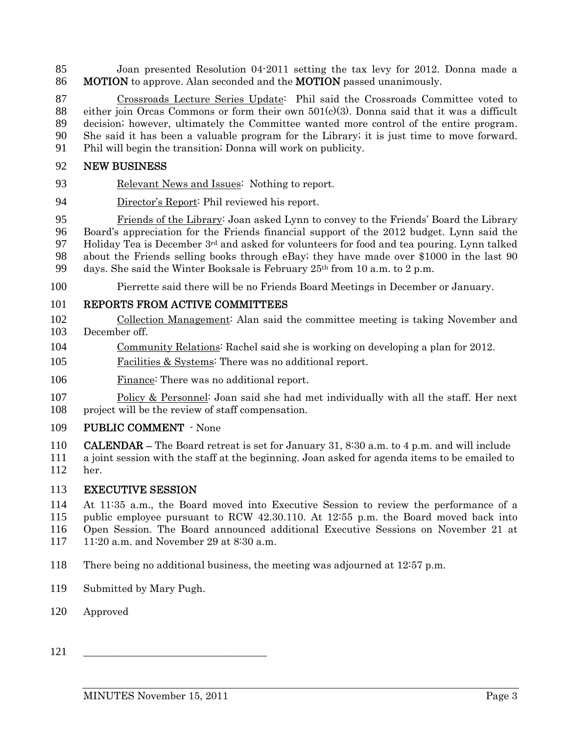Joan presented Resolution 04-2011 setting the tax levy for 2012. Donna made a 86 MOTION to approve. Alan seconded and the MOTION passed unanimously.

Crossroads Lecture Series Update: Phil said the Crossroads Committee voted to 88 either join Orcas Commons or form their own  $501(c)(3)$ . Donna said that it was a difficult decision; however, ultimately the Committee wanted more control of the entire program. She said it has been a valuable program for the Library; it is just time to move forward. Phil will begin the transition; Donna will work on publicity.

### NEW BUSINESS

- Relevant News and Issues: Nothing to report.
- Director's Report: Phil reviewed his report.

Friends of the Library: Joan asked Lynn to convey to the Friends' Board the Library Board's appreciation for the Friends financial support of the 2012 budget. Lynn said the 97 Holiday Tea is December  $3<sup>rd</sup>$  and asked for volunteers for food and tea pouring. Lynn talked about the Friends selling books through eBay; they have made over \$1000 in the last 90 99 days. She said the Winter Booksale is February  $25<sup>th</sup>$  from 10 a.m. to 2 p.m.

Pierrette said there will be no Friends Board Meetings in December or January.

### REPORTS FROM ACTIVE COMMITTEES

- Collection Management: Alan said the committee meeting is taking November and December off.
- Community Relations: Rachel said she is working on developing a plan for 2012.
- Facilities & Systems: There was no additional report.
- Finance: There was no additional report.
- 107 Policy & Personnel: Joan said she had met individually with all the staff. Her next project will be the review of staff compensation.

### PUBLIC COMMENT - None

CALENDAR – The Board retreat is set for January 31, 8:30 a.m. to 4 p.m. and will include a joint session with the staff at the beginning. Joan asked for agenda items to be emailed to her.

### EXECUTIVE SESSION

At 11:35 a.m., the Board moved into Executive Session to review the performance of a public employee pursuant to RCW 42.30.110. At 12:55 p.m. the Board moved back into Open Session. The Board announced additional Executive Sessions on November 21 at 11:20 a.m. and November 29 at 8:30 a.m.

- There being no additional business, the meeting was adjourned at 12:57 p.m.
- Submitted by Mary Pugh.
- Approved
- \_\_\_\_\_\_\_\_\_\_\_\_\_\_\_\_\_\_\_\_\_\_\_\_\_\_\_\_\_\_\_\_\_\_\_\_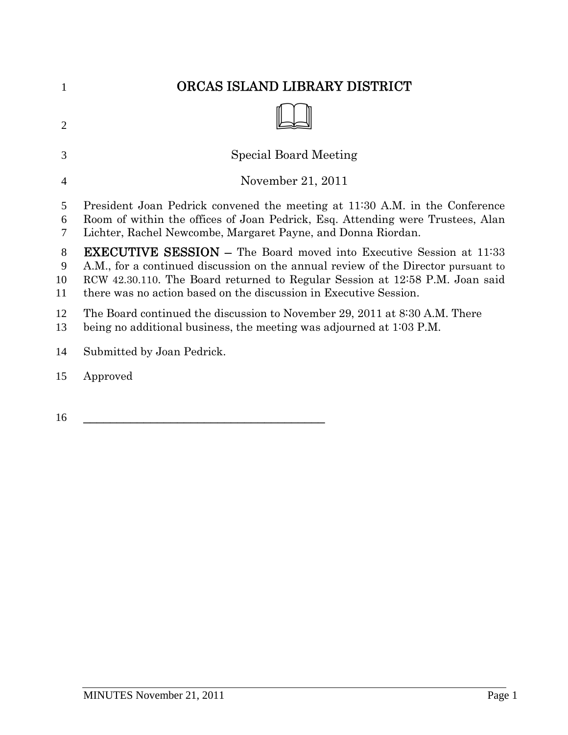| 1                  | ORCAS ISLAND LIBRARY DISTRICT                                                                                                                                                                                                                                                                                        |
|--------------------|----------------------------------------------------------------------------------------------------------------------------------------------------------------------------------------------------------------------------------------------------------------------------------------------------------------------|
| $\overline{2}$     |                                                                                                                                                                                                                                                                                                                      |
| 3                  | <b>Special Board Meeting</b>                                                                                                                                                                                                                                                                                         |
| $\overline{4}$     | November 21, 2011                                                                                                                                                                                                                                                                                                    |
| 5<br>6<br>7        | President Joan Pedrick convened the meeting at 11:30 A.M. in the Conference<br>Room of within the offices of Joan Pedrick, Esq. Attending were Trustees, Alan<br>Lichter, Rachel Newcombe, Margaret Payne, and Donna Riordan.                                                                                        |
| 8<br>9<br>10<br>11 | <b>EXECUTIVE SESSION – The Board moved into Executive Session at 11:33</b><br>A.M., for a continued discussion on the annual review of the Director pursuant to<br>RCW 42.30.110. The Board returned to Regular Session at 12:58 P.M. Joan said<br>there was no action based on the discussion in Executive Session. |
| 12<br>13           | The Board continued the discussion to November 29, 2011 at 8:30 A.M. There<br>being no additional business, the meeting was adjourned at $1:03$ P.M.                                                                                                                                                                 |
| 14                 | Submitted by Joan Pedrick.                                                                                                                                                                                                                                                                                           |
| 15                 | Approved                                                                                                                                                                                                                                                                                                             |
|                    |                                                                                                                                                                                                                                                                                                                      |

 $\qquad$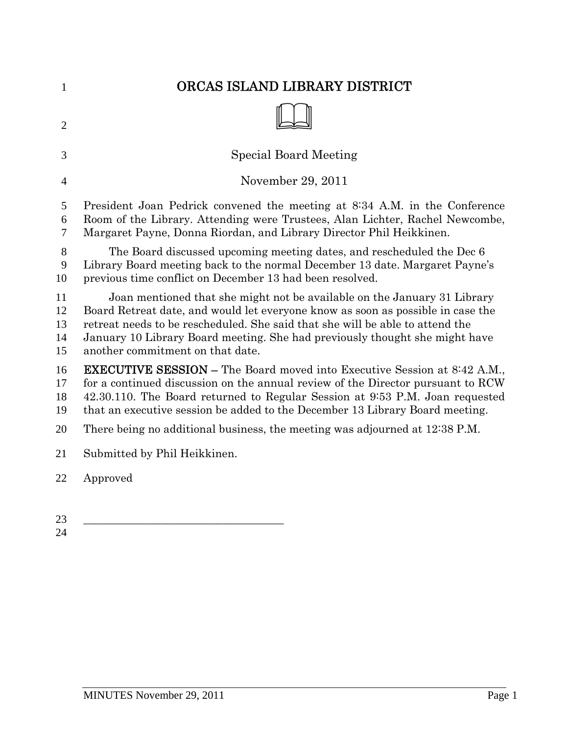| $\mathbf{1}$               | ORCAS ISLAND LIBRARY DISTRICT                                                                                                                                                                                                                                                                                                                                   |
|----------------------------|-----------------------------------------------------------------------------------------------------------------------------------------------------------------------------------------------------------------------------------------------------------------------------------------------------------------------------------------------------------------|
| $\overline{2}$             |                                                                                                                                                                                                                                                                                                                                                                 |
| 3                          | <b>Special Board Meeting</b>                                                                                                                                                                                                                                                                                                                                    |
| $\overline{4}$             | November 29, 2011                                                                                                                                                                                                                                                                                                                                               |
| 5<br>6<br>7                | President Joan Pedrick convened the meeting at 8:34 A.M. in the Conference<br>Room of the Library. Attending were Trustees, Alan Lichter, Rachel Newcombe,<br>Margaret Payne, Donna Riordan, and Library Director Phil Heikkinen.                                                                                                                               |
| 8<br>9<br>10               | The Board discussed upcoming meeting dates, and rescheduled the Dec 6<br>Library Board meeting back to the normal December 13 date. Margaret Payne's<br>previous time conflict on December 13 had been resolved.                                                                                                                                                |
| 11<br>12<br>13<br>14<br>15 | Joan mentioned that she might not be available on the January 31 Library<br>Board Retreat date, and would let everyone know as soon as possible in case the<br>retreat needs to be rescheduled. She said that she will be able to attend the<br>January 10 Library Board meeting. She had previously thought she might have<br>another commitment on that date. |
| 16<br>17<br>18<br>19       | <b>EXECUTIVE SESSION – The Board moved into Executive Session at 8:42 A.M.,</b><br>for a continued discussion on the annual review of the Director pursuant to RCW<br>42.30.110. The Board returned to Regular Session at 9:53 P.M. Joan requested<br>that an executive session be added to the December 13 Library Board meeting.                              |
| 20                         | There being no additional business, the meeting was adjourned at 12:38 P.M.                                                                                                                                                                                                                                                                                     |
| 21                         | Submitted by Phil Heikkinen.                                                                                                                                                                                                                                                                                                                                    |
| 22                         | Approved                                                                                                                                                                                                                                                                                                                                                        |
|                            |                                                                                                                                                                                                                                                                                                                                                                 |
| 23<br>24                   |                                                                                                                                                                                                                                                                                                                                                                 |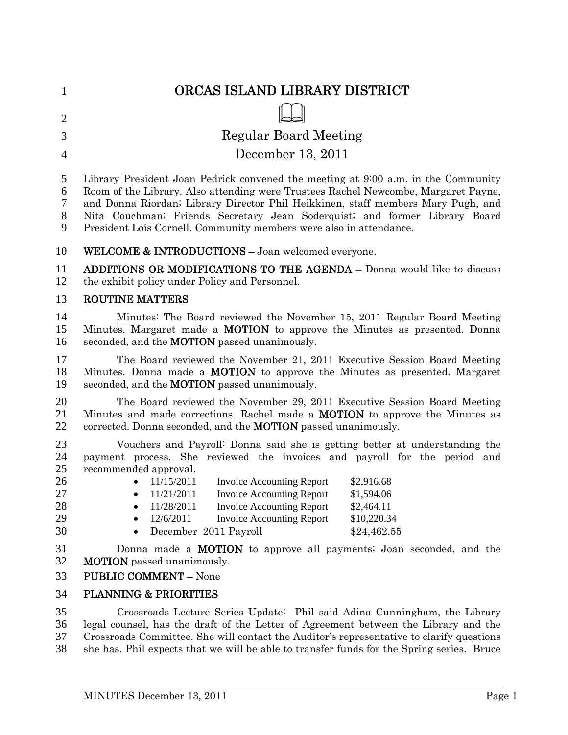| $\mathbf{1}$                                 | ORCAS ISLAND LIBRARY DISTRICT                                                                                                                                                                                                                                                                                                                                                                                                                                                                          |
|----------------------------------------------|--------------------------------------------------------------------------------------------------------------------------------------------------------------------------------------------------------------------------------------------------------------------------------------------------------------------------------------------------------------------------------------------------------------------------------------------------------------------------------------------------------|
| $\overline{2}$                               |                                                                                                                                                                                                                                                                                                                                                                                                                                                                                                        |
| 3                                            | <b>Regular Board Meeting</b>                                                                                                                                                                                                                                                                                                                                                                                                                                                                           |
| $\overline{4}$                               | December 13, 2011                                                                                                                                                                                                                                                                                                                                                                                                                                                                                      |
| 5<br>6<br>7<br>$8\phantom{1}$<br>9           | Library President Joan Pedrick convened the meeting at 9:00 a.m. in the Community<br>Room of the Library. Also attending were Trustees Rachel Newcombe, Margaret Payne,<br>and Donna Riordan; Library Director Phil Heikkinen, staff members Mary Pugh, and<br>Nita Couchman; Friends Secretary Jean Soderquist; and former Library Board<br>President Lois Cornell. Community members were also in attendance.                                                                                        |
| 10                                           | <b>WELCOME &amp; INTRODUCTIONS - Joan welcomed everyone.</b>                                                                                                                                                                                                                                                                                                                                                                                                                                           |
| 11<br>12                                     | <b>ADDITIONS OR MODIFICATIONS TO THE AGENDA – Donna would like to discuss</b><br>the exhibit policy under Policy and Personnel.                                                                                                                                                                                                                                                                                                                                                                        |
| 13                                           | <b>ROUTINE MATTERS</b>                                                                                                                                                                                                                                                                                                                                                                                                                                                                                 |
| 14<br>15<br>16                               | Minutes: The Board reviewed the November 15, 2011 Regular Board Meeting<br>Minutes. Margaret made a <b>MOTION</b> to approve the Minutes as presented. Donna<br>seconded, and the <b>MOTION</b> passed unanimously.                                                                                                                                                                                                                                                                                    |
| 17<br>18<br>19                               | The Board reviewed the November 21, 2011 Executive Session Board Meeting<br>Minutes. Donna made a <b>MOTION</b> to approve the Minutes as presented. Margaret<br>seconded, and the <b>MOTION</b> passed unanimously.                                                                                                                                                                                                                                                                                   |
| 20<br>21<br>22                               | The Board reviewed the November 29, 2011 Executive Session Board Meeting<br>Minutes and made corrections. Rachel made a <b>MOTION</b> to approve the Minutes as<br>corrected. Donna seconded, and the <b>MOTION</b> passed unanimously.                                                                                                                                                                                                                                                                |
| 23<br>24<br>25<br>26<br>27<br>28<br>29<br>30 | Vouchers and Payroll: Donna said she is getting better at understanding the<br>payment process. She reviewed the invoices and payroll for the period and<br>recommended approval.<br>11/15/2011<br><b>Invoice Accounting Report</b><br>\$2,916.68<br>11/21/2011<br><b>Invoice Accounting Report</b><br>\$1,594.06<br>$\bullet$<br>11/28/2011<br><b>Invoice Accounting Report</b><br>\$2,464.11<br>12/6/2011<br><b>Invoice Accounting Report</b><br>\$10,220.34<br>December 2011 Payroll<br>\$24,462.55 |
| 31<br>32<br>33                               | Donna made a <b>MOTION</b> to approve all payments; Joan seconded, and the<br><b>MOTION</b> passed unanimously.<br><b>PUBLIC COMMENT - None</b>                                                                                                                                                                                                                                                                                                                                                        |
| 34                                           | <b>PLANNING &amp; PRIORITIES</b>                                                                                                                                                                                                                                                                                                                                                                                                                                                                       |
| 35<br>36<br>37<br>38                         | Crossroads Lecture Series Update: Phil said Adina Cunningham, the Library<br>legal counsel, has the draft of the Letter of Agreement between the Library and the<br>Crossroads Committee. She will contact the Auditor's representative to clarify questions<br>she has. Phil expects that we will be able to transfer funds for the Spring series. Bruce                                                                                                                                              |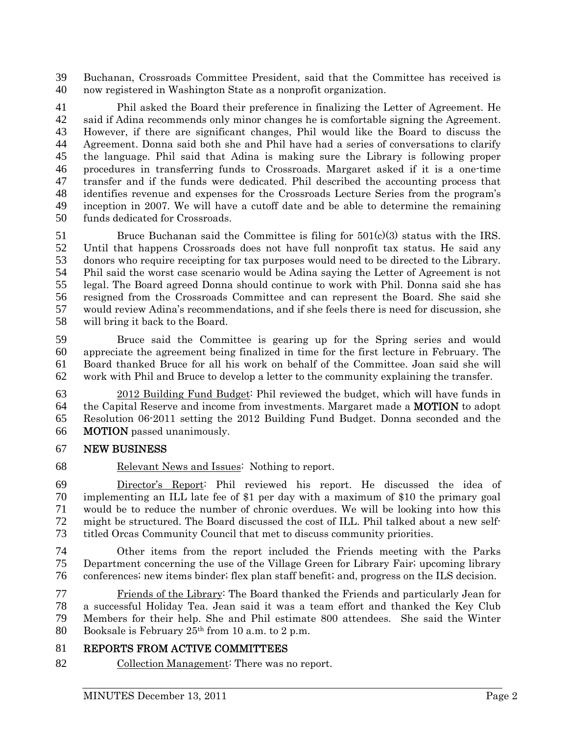Buchanan, Crossroads Committee President, said that the Committee has received is now registered in Washington State as a nonprofit organization.

Phil asked the Board their preference in finalizing the Letter of Agreement. He said if Adina recommends only minor changes he is comfortable signing the Agreement. However, if there are significant changes, Phil would like the Board to discuss the Agreement. Donna said both she and Phil have had a series of conversations to clarify the language. Phil said that Adina is making sure the Library is following proper procedures in transferring funds to Crossroads. Margaret asked if it is a one-time transfer and if the funds were dedicated. Phil described the accounting process that identifies revenue and expenses for the Crossroads Lecture Series from the program's inception in 2007. We will have a cutoff date and be able to determine the remaining funds dedicated for Crossroads.

Bruce Buchanan said the Committee is filing for 501(c)(3) status with the IRS. Until that happens Crossroads does not have full nonprofit tax status. He said any donors who require receipting for tax purposes would need to be directed to the Library. Phil said the worst case scenario would be Adina saying the Letter of Agreement is not legal. The Board agreed Donna should continue to work with Phil. Donna said she has resigned from the Crossroads Committee and can represent the Board. She said she would review Adina's recommendations, and if she feels there is need for discussion, she will bring it back to the Board.

Bruce said the Committee is gearing up for the Spring series and would appreciate the agreement being finalized in time for the first lecture in February. The Board thanked Bruce for all his work on behalf of the Committee. Joan said she will work with Phil and Bruce to develop a letter to the community explaining the transfer.

2012 Building Fund Budget: Phil reviewed the budget, which will have funds in the Capital Reserve and income from investments. Margaret made a MOTION to adopt Resolution 06-2011 setting the 2012 Building Fund Budget. Donna seconded and the MOTION passed unanimously.

### NEW BUSINESS

Relevant News and Issues: Nothing to report.

Director's Report: Phil reviewed his report. He discussed the idea of implementing an ILL late fee of \$1 per day with a maximum of \$10 the primary goal would be to reduce the number of chronic overdues. We will be looking into how this might be structured. The Board discussed the cost of ILL. Phil talked about a new self-titled Orcas Community Council that met to discuss community priorities.

Other items from the report included the Friends meeting with the Parks Department concerning the use of the Village Green for Library Fair; upcoming library conferences; new items binder; flex plan staff benefit; and, progress on the ILS decision.

Friends of the Library: The Board thanked the Friends and particularly Jean for a successful Holiday Tea. Jean said it was a team effort and thanked the Key Club Members for their help. She and Phil estimate 800 attendees. She said the Winter 80 Booksale is February  $25<sup>th</sup>$  from 10 a.m. to 2 p.m.

# REPORTS FROM ACTIVE COMMITTEES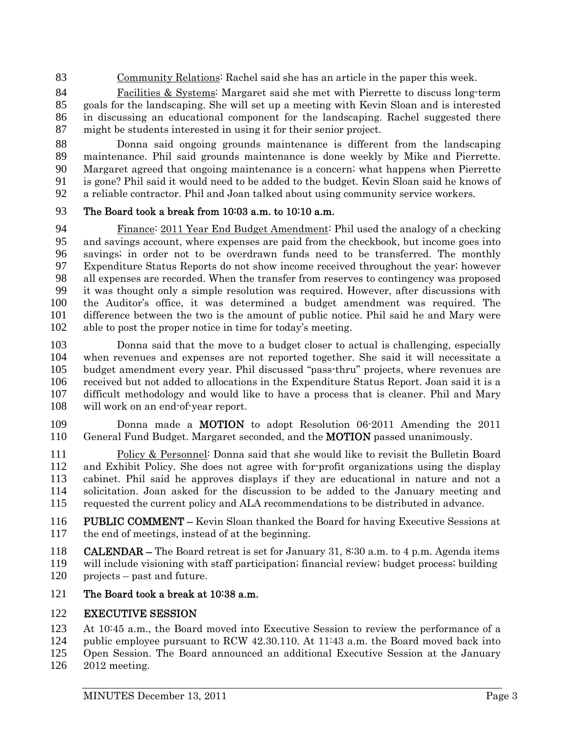Community Relations: Rachel said she has an article in the paper this week.

Facilities & Systems: Margaret said she met with Pierrette to discuss long-term goals for the landscaping. She will set up a meeting with Kevin Sloan and is interested in discussing an educational component for the landscaping. Rachel suggested there might be students interested in using it for their senior project.

Donna said ongoing grounds maintenance is different from the landscaping maintenance. Phil said grounds maintenance is done weekly by Mike and Pierrette. Margaret agreed that ongoing maintenance is a concern; what happens when Pierrette is gone? Phil said it would need to be added to the budget. Kevin Sloan said he knows of a reliable contractor. Phil and Joan talked about using community service workers.

### The Board took a break from 10:03 a.m. to 10:10 a.m.

Finance: 2011 Year End Budget Amendment: Phil used the analogy of a checking and savings account, where expenses are paid from the checkbook, but income goes into savings; in order not to be overdrawn funds need to be transferred. The monthly Expenditure Status Reports do not show income received throughout the year; however 98 all expenses are recorded. When the transfer from reserves to contingency was proposed<br>99 it was thought only a simple resolution was required. However, after discussions with it was thought only a simple resolution was required. However, after discussions with the Auditor's office, it was determined a budget amendment was required. The difference between the two is the amount of public notice. Phil said he and Mary were able to post the proper notice in time for today's meeting.

Donna said that the move to a budget closer to actual is challenging, especially when revenues and expenses are not reported together. She said it will necessitate a budget amendment every year. Phil discussed "pass-thru" projects, where revenues are received but not added to allocations in the Expenditure Status Report. Joan said it is a difficult methodology and would like to have a process that is cleaner. Phil and Mary will work on an end-of-year report.

Donna made a MOTION to adopt Resolution 06-2011 Amending the 2011 110 General Fund Budget. Margaret seconded, and the **MOTION** passed unanimously.

Policy & Personnel: Donna said that she would like to revisit the Bulletin Board and Exhibit Policy. She does not agree with for-profit organizations using the display cabinet. Phil said he approves displays if they are educational in nature and not a solicitation. Joan asked for the discussion to be added to the January meeting and requested the current policy and ALA recommendations to be distributed in advance.

PUBLIC COMMENT – Kevin Sloan thanked the Board for having Executive Sessions at the end of meetings, instead of at the beginning.

CALENDAR – The Board retreat is set for January 31, 8:30 a.m. to 4 p.m. Agenda items will include visioning with staff participation; financial review; budget process; building projects – past and future.

### 121 The Board took a break at 10:38 a.m.

# EXECUTIVE SESSION

At 10:45 a.m., the Board moved into Executive Session to review the performance of a

- public employee pursuant to RCW 42.30.110. At 11:43 a.m. the Board moved back into
- Open Session. The Board announced an additional Executive Session at the January 2012 meeting.